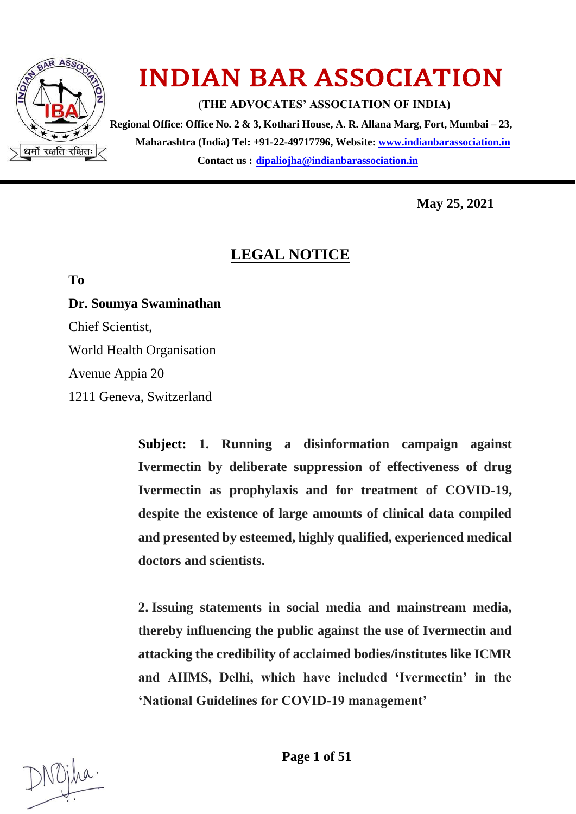

# INDIAN BAR ASSOCIATION

(**THE ADVOCATES' ASSOCIATION OF INDIA)**

 **Regional Office**: **Office No. 2 & 3, Kothari House, A. R. Allana Marg, Fort, Mumbai – 23, Maharashtra (India) Tel: +91-22-49717796, Website: [www.indianbarassociation.in](http://www.indianbarassociation.in/) Contact us : <dipaliojha@indianbarassociation.in>**

**May 25, 2021**

# **LEGAL NOTICE**

**To**

**Dr. Soumya Swaminathan**

Chief Scientist,

World Health Organisation

Avenue Appia 20

1211 Geneva, Switzerland

**Subject: 1. Running a disinformation campaign against Ivermectin by deliberate suppression of effectiveness of drug Ivermectin as prophylaxis and for treatment of COVID-19, despite the existence of large amounts of clinical data compiled and presented by esteemed, highly qualified, experienced medical doctors and scientists.**

**2. Issuing statements in social media and mainstream media, thereby influencing the public against the use of Ivermectin and attacking the credibility of acclaimed bodies/institutes like ICMR and AIIMS, Delhi, which have included 'Ivermectin' in the 'National Guidelines for COVID-19 management'**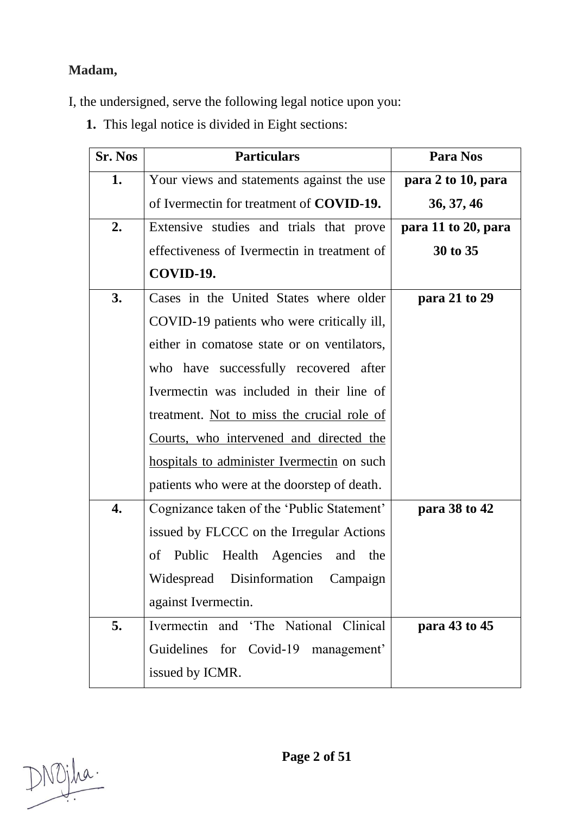## **Madam,**

I, the undersigned, serve the following legal notice upon you:

**1.** This legal notice is divided in Eight sections:

| <b>Sr. Nos</b> | <b>Particulars</b>                              | Para Nos            |
|----------------|-------------------------------------------------|---------------------|
| 1.             | Your views and statements against the use       | para 2 to 10, para  |
|                | of Ivermectin for treatment of <b>COVID-19.</b> | 36, 37, 46          |
| 2.             | Extensive studies and trials that prove         | para 11 to 20, para |
|                | effectiveness of Ivermectin in treatment of     | 30 to 35            |
|                | COVID-19.                                       |                     |
| 3.             | Cases in the United States where older          | para 21 to 29       |
|                | COVID-19 patients who were critically ill,      |                     |
|                | either in comatose state or on ventilators,     |                     |
|                | who have successfully recovered after           |                     |
|                | Ivermectin was included in their line of        |                     |
|                | treatment. Not to miss the crucial role of      |                     |
|                | Courts, who intervened and directed the         |                     |
|                | hospitals to administer Ivermectin on such      |                     |
|                | patients who were at the doorstep of death.     |                     |
| 4.             | Cognizance taken of the 'Public Statement'      | para 38 to 42       |
|                | issued by FLCCC on the Irregular Actions        |                     |
|                | Public Health Agencies and the<br>of            |                     |
|                | Widespread Disinformation Campaign              |                     |
|                | against Ivermectin.                             |                     |
| 5.             | Clinical<br>Ivermectin and 'The National        | para 43 to 45       |
|                | Guidelines for Covid-19 management'             |                     |
|                | issued by ICMR.                                 |                     |

DNOjha.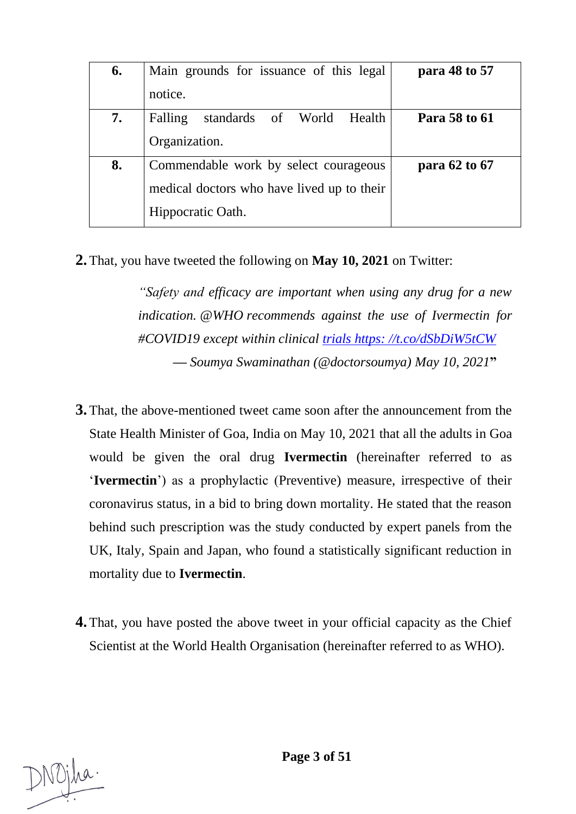| 6. | Main grounds for issuance of this legal    | para 48 to 57 |
|----|--------------------------------------------|---------------|
|    | notice.                                    |               |
| 7. | Falling standards of World Health          | Para 58 to 61 |
|    | Organization.                              |               |
| 8. | Commendable work by select courageous      | para 62 to 67 |
|    | medical doctors who have lived up to their |               |
|    | Hippocratic Oath.                          |               |

**2.** That, you have tweeted the following on **May 10, 2021** on Twitter:

*"Safety and efficacy are important when using any drug for a new indication. [@WHO](https://twitter.com/WHO?ref_src=twsrc%5Etfw) recommends against the use of Ivermectin for [#COVID19](https://twitter.com/hashtag/COVID19?src=hash&ref_src=twsrc%5Etfw) except within clinical [trials https: //t.co/dSbDiW5tCW](https://t.co/dSbDiW5tCW) — Soumya Swaminathan (@doctorsoumya) [May 10, 2021](https://twitter.com/doctorsoumya/status/1391865641330688000?ref_src=twsrc%5Etfw)***"**

- **3.** That, the above-mentioned tweet came soon after the announcement from the State Health Minister of Goa, India on May 10, 2021 that all the adults in Goa would be given the oral drug **Ivermectin** (hereinafter referred to as '**Ivermectin**') as a prophylactic (Preventive) measure, irrespective of their coronavirus status, in a bid to bring down mortality. He stated that the reason behind such prescription was the study conducted by expert panels from the UK, Italy, Spain and Japan, who found a statistically significant reduction in mortality due to **Ivermectin**.
- **4.** That, you have posted the above tweet in your official capacity as the Chief Scientist at the World Health Organisation (hereinafter referred to as WHO).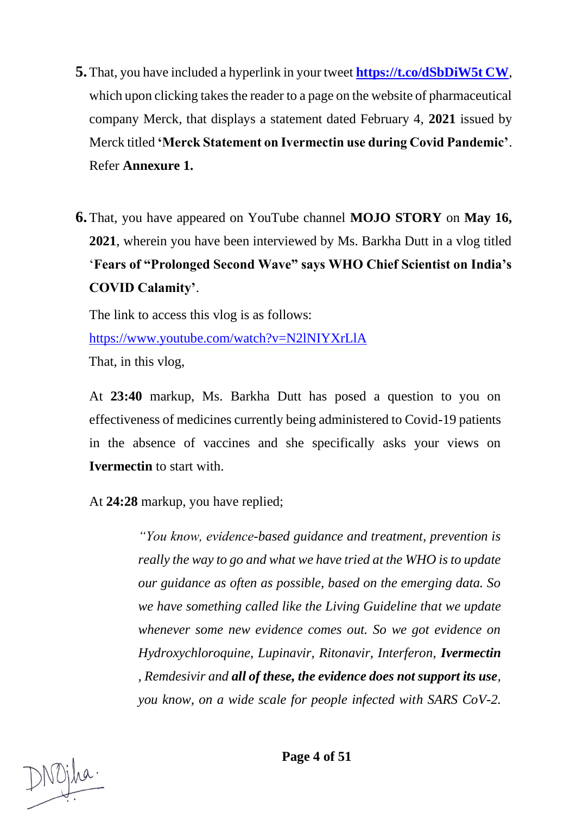- **5.** That, you have included a hyperlink in your tweet **[https://t.co/dSbDiW5t CW](https://t.co/dSbDiW5t%20CW)**, which upon clicking takes the reader to a page on the website of pharmaceutical company Merck, that displays a statement dated February 4, **2021** issued by Merck titled **'Merck Statement on Ivermectin use during Covid Pandemic'**. Refer **Annexure 1.**
- **6.** That, you have appeared on YouTube channel **MOJO STORY** on **May 16, 2021**, wherein you have been interviewed by Ms. Barkha Dutt in a vlog titled '**Fears of "Prolonged Second Wave" says WHO Chief Scientist on India's COVID Calamity'**.

The link to access this vlog is as follows:

<https://www.youtube.com/watch?v=N2lNIYXrLlA>

That, in this vlog,

At **23:40** markup, Ms. Barkha Dutt has posed a question to you on effectiveness of medicines currently being administered to Covid-19 patients in the absence of vaccines and she specifically asks your views on **Ivermectin** to start with.

At **24:28** markup, you have replied;

*"You know, evidence-based guidance and treatment, prevention is really the way to go and what we have tried at the WHO is to update our guidance as often as possible, based on the emerging data. So we have something called like the Living Guideline that we update whenever some new evidence comes out. So we got evidence on Hydroxychloroquine, Lupinavir, Ritonavir, Interferon, Ivermectin , Remdesivir and all of these, the evidence does not support its use, you know, on a wide scale for people infected with SARS CoV-2.*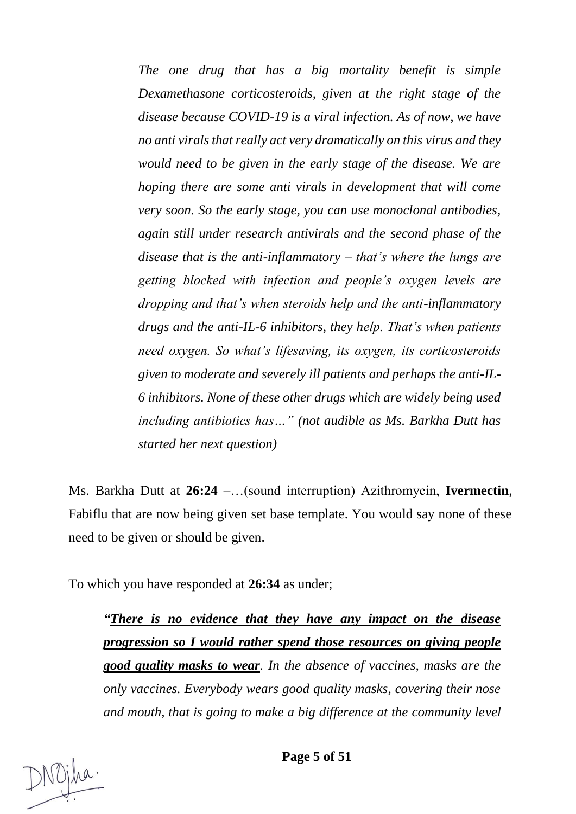*The one drug that has a big mortality benefit is simple Dexamethasone corticosteroids, given at the right stage of the disease because COVID-19 is a viral infection. As of now, we have no anti virals that really act very dramatically on this virus and they would need to be given in the early stage of the disease. We are hoping there are some anti virals in development that will come very soon. So the early stage, you can use monoclonal antibodies, again still under research antivirals and the second phase of the disease that is the anti-inflammatory – that's where the lungs are getting blocked with infection and people's oxygen levels are dropping and that's when steroids help and the anti-inflammatory drugs and the anti-IL-6 inhibitors, they help. That's when patients need oxygen. So what's lifesaving, its oxygen, its corticosteroids given to moderate and severely ill patients and perhaps the anti-IL-6 inhibitors. None of these other drugs which are widely being used including antibiotics has…" (not audible as Ms. Barkha Dutt has started her next question)*

Ms. Barkha Dutt at **26:24** –…(sound interruption) Azithromycin, **Ivermectin**, Fabiflu that are now being given set base template. You would say none of these need to be given or should be given.

To which you have responded at **26:34** as under;

*"There is no evidence that they have any impact on the disease progression so I would rather spend those resources on giving people good quality masks to wear. In the absence of vaccines, masks are the only vaccines. Everybody wears good quality masks, covering their nose and mouth, that is going to make a big difference at the community level*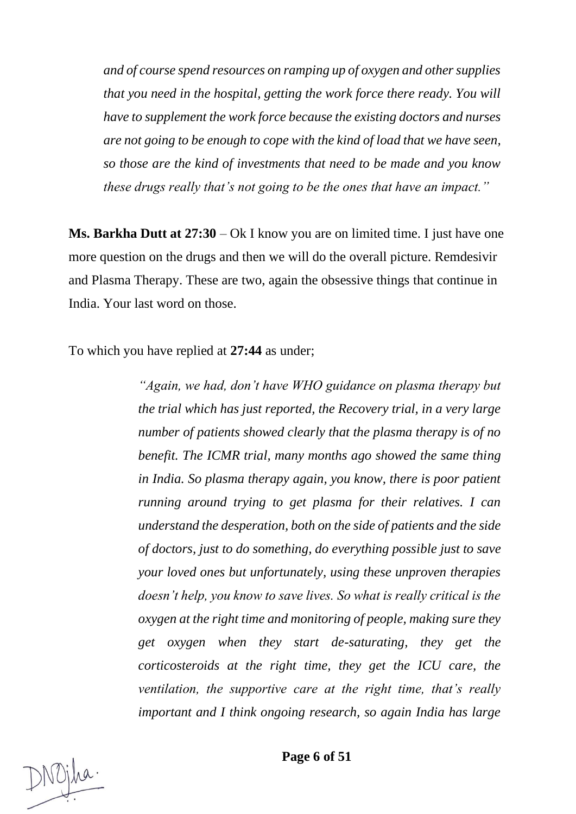*and of course spend resources on ramping up of oxygen and other supplies that you need in the hospital, getting the work force there ready. You will have to supplement the work force because the existing doctors and nurses are not going to be enough to cope with the kind of load that we have seen, so those are the kind of investments that need to be made and you know these drugs really that's not going to be the ones that have an impact."*

**Ms. Barkha Dutt at 27:30** – Ok I know you are on limited time. I just have one more question on the drugs and then we will do the overall picture. Remdesivir and Plasma Therapy. These are two, again the obsessive things that continue in India. Your last word on those.

To which you have replied at **27:44** as under;

*"Again, we had, don't have WHO guidance on plasma therapy but the trial which has just reported, the Recovery trial, in a very large number of patients showed clearly that the plasma therapy is of no benefit. The ICMR trial, many months ago showed the same thing in India. So plasma therapy again, you know, there is poor patient running around trying to get plasma for their relatives. I can understand the desperation, both on the side of patients and the side of doctors, just to do something, do everything possible just to save your loved ones but unfortunately, using these unproven therapies doesn't help, you know to save lives. So what is really critical is the oxygen at the right time and monitoring of people, making sure they get oxygen when they start de-saturating, they get the corticosteroids at the right time, they get the ICU care, the ventilation, the supportive care at the right time, that's really important and I think ongoing research, so again India has large* 

**Page 6 of 51**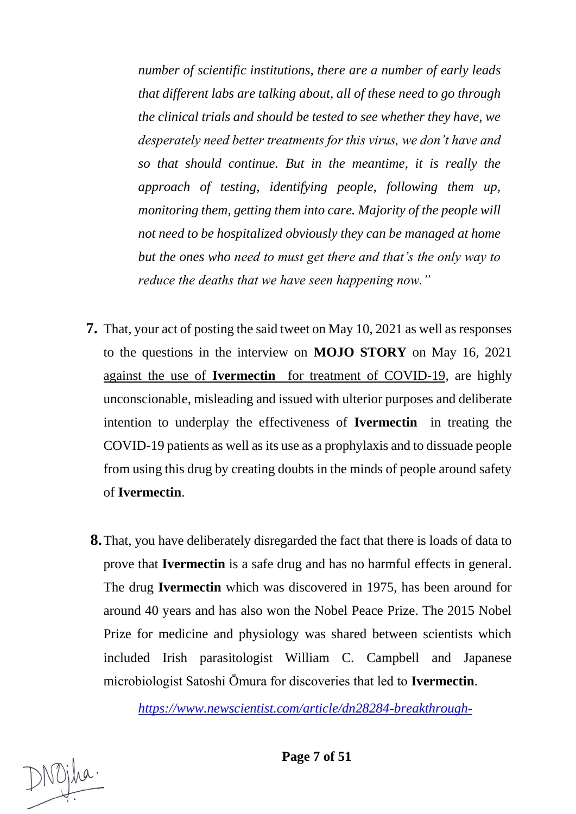*number of scientific institutions, there are a number of early leads that different labs are talking about, all of these need to go through the clinical trials and should be tested to see whether they have, we desperately need better treatments for this virus, we don't have and so that should continue. But in the meantime, it is really the approach of testing, identifying people, following them up, monitoring them, getting them into care. Majority of the people will not need to be hospitalized obviously they can be managed at home but the ones who need to must get there and that's the only way to reduce the deaths that we have seen happening now."*

- **7.** That, your act of posting the said tweet on May 10, 2021 as well as responses to the questions in the interview on **MOJO STORY** on May 16, 2021 against the use of **Ivermectin** for treatment of COVID-19, are highly unconscionable, misleading and issued with ulterior purposes and deliberate intention to underplay the effectiveness of **Ivermectin** in treating the COVID-19 patients as well as its use as a prophylaxis and to dissuade people from using this drug by creating doubts in the minds of people around safety of **Ivermectin**.
- **8.**That, you have deliberately disregarded the fact that there is loads of data to prove that **Ivermectin** is a safe drug and has no harmful effects in general. The drug **Ivermectin** which was discovered in 1975, has been around for around 40 years and has also won the Nobel Peace Prize. The 2015 Nobel Prize for medicine and physiology was shared between scientists which included Irish parasitologist William C. Campbell and Japanese microbiologist Satoshi Ōmura for discoveries that led to **[Ivermectin](https://www.newscientist.com/article/mg13718572-500-river-blindness)**.

*[https://www.newscientist.com/article/dn28284-breakthrough-](https://www.newscientist.com/article/dn28284-breakthrough-drugs-for-malaria-and-roundworm-win-medicine-nobel/)*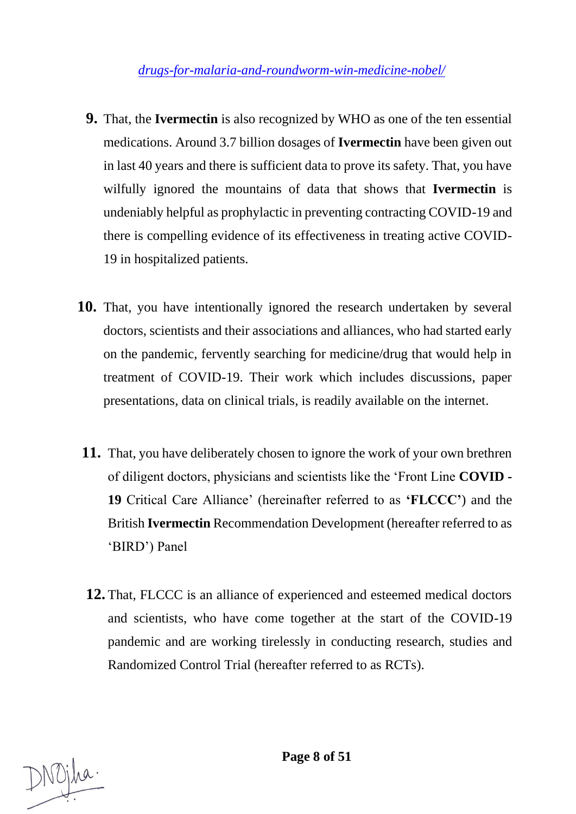*[drugs-for-malaria-and-roundworm-win-medicine-nobel/](https://www.newscientist.com/article/dn28284-breakthrough-drugs-for-malaria-and-roundworm-win-medicine-nobel/)*

- **9.** That, the **Ivermectin** is also recognized by WHO as one of the ten essential medications. Around 3.7 billion dosages of **Ivermectin** have been given out in last 40 years and there is sufficient data to prove its safety. That, you have wilfully ignored the mountains of data that shows that **Ivermectin** is undeniably helpful as prophylactic in preventing contracting COVID-19 and there is compelling evidence of its effectiveness in treating active COVID-19 in hospitalized patients.
- **10.** That, you have intentionally ignored the research undertaken by several doctors, scientists and their associations and alliances, who had started early on the pandemic, fervently searching for medicine/drug that would help in treatment of COVID-19. Their work which includes discussions, paper presentations, data on clinical trials, is readily available on the internet.
- **11.** That, you have deliberately chosen to ignore the work of your own brethren of diligent doctors, physicians and scientists like the 'Front Line **COVID - 19** Critical Care Alliance' (hereinafter referred to as **'FLCCC'**) and the British **Ivermectin** Recommendation Development (hereafter referred to as 'BIRD') Panel
- **12.** That, FLCCC is an alliance of experienced and esteemed medical doctors and scientists, who have come together at the start of the COVID-19 pandemic and are working tirelessly in conducting research, studies and Randomized Control Trial (hereafter referred to as RCTs).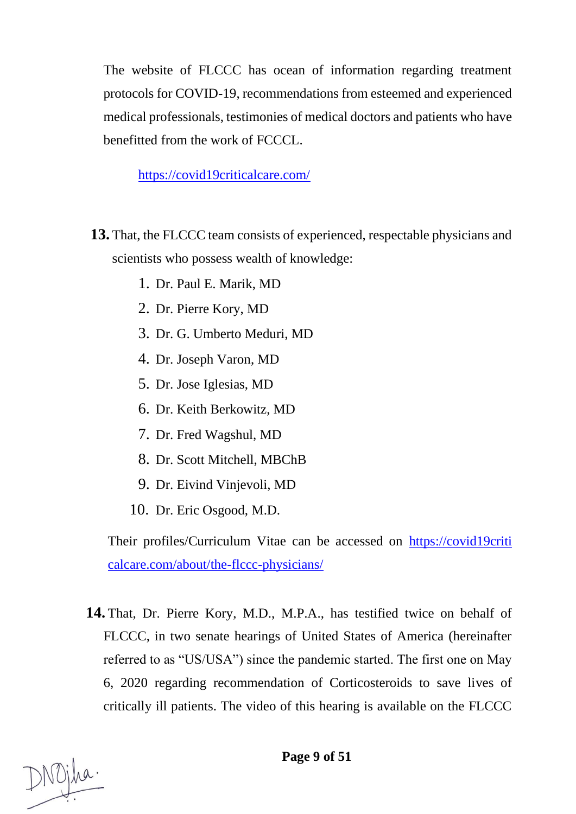The website of FLCCC has ocean of information regarding treatment protocols for COVID-19, recommendations from esteemed and experienced medical professionals, testimonies of medical doctors and patients who have benefitted from the work of FCCCL.

### <https://covid19criticalcare.com/>

- **13.** That, the FLCCC team consists of experienced, respectable physicians and scientists who possess wealth of knowledge:
	- 1. Dr. Paul E. Marik, MD
	- 2. Dr. Pierre Kory, MD
	- 3. Dr. G. Umberto Meduri, MD
	- 4. Dr. Joseph Varon, MD
	- 5. Dr. Jose Iglesias, MD
	- 6. Dr. Keith Berkowitz, MD
	- 7. Dr. Fred Wagshul, MD
	- 8. Dr. Scott Mitchell, MBChB
	- 9. Dr. Eivind Vinjevoli, MD
	- 10. Dr. Eric Osgood, M.D.

Their profiles/Curriculum Vitae can be accessed on https://covid19criti calcare.com/about/the-flccc-physicians/

**14.** That, Dr. Pierre Kory, M.D., M.P.A., has testified twice on behalf of FLCCC, in two senate hearings of United States of America (hereinafter referred to as "US/USA") since the pandemic started. The first one on May 6, 2020 regarding recommendation of Corticosteroids to save lives of critically ill patients. The video of this hearing is available on the FLCCC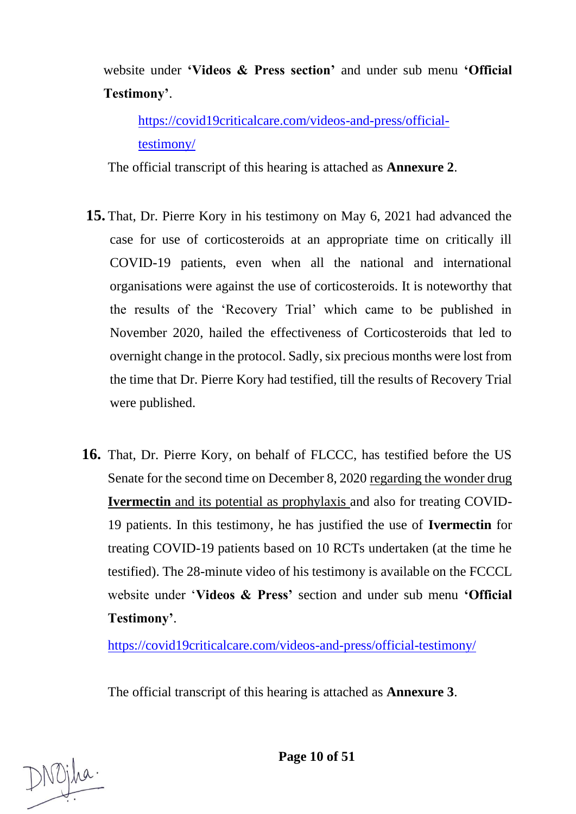website under **'Videos & Press section'** and under sub menu **'Official Testimony'**.

[https://covid19criticalcare.com/videos-and-press/official](https://covid19criticalcare.com/videos-and-press/official-testimony/)[testimony/](https://covid19criticalcare.com/videos-and-press/official-testimony/)

The official transcript of this hearing is attached as **Annexure 2**.

- **15.** That, Dr. Pierre Kory in his testimony on May 6, 2021 had advanced the case for use of corticosteroids at an appropriate time on critically ill COVID-19 patients, even when all the national and international organisations were against the use of corticosteroids. It is noteworthy that the results of the 'Recovery Trial' which came to be published in November 2020, hailed the effectiveness of Corticosteroids that led to overnight change in the protocol. Sadly, six precious months were lost from the time that Dr. Pierre Kory had testified, till the results of Recovery Trial were published.
- **16.** That, Dr. Pierre Kory, on behalf of FLCCC, has testified before the US Senate for the second time on December 8, 2020 regarding the wonder drug **Ivermectin** and its potential as prophylaxis and also for treating COVID-19 patients. In this testimony, he has justified the use of **Ivermectin** for treating COVID-19 patients based on 10 RCTs undertaken (at the time he testified). The 28-minute video of his testimony is available on the FCCCL website under '**Videos & Press'** section and under sub menu **'Official Testimony'**.

<https://covid19criticalcare.com/videos-and-press/official-testimony/>

The official transcript of this hearing is attached as **Annexure 3**.

**Page 10 of 51**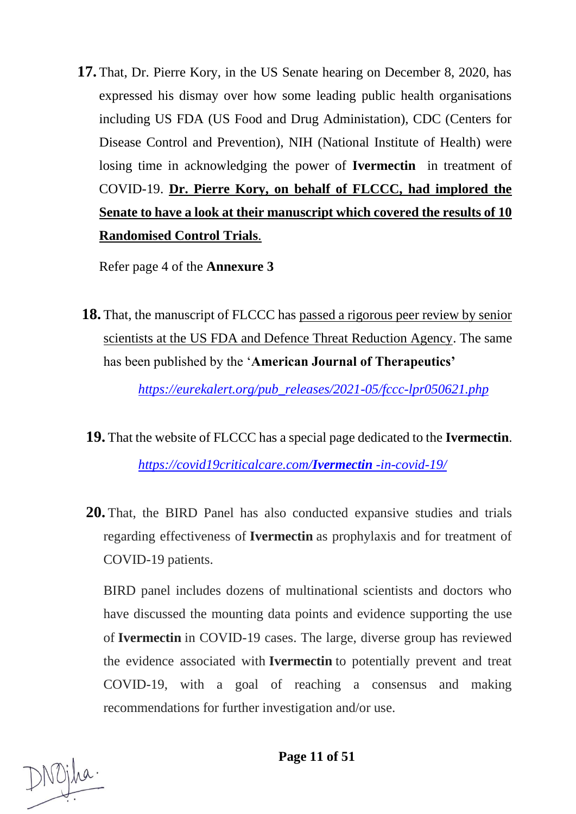**17.** That, Dr. Pierre Kory, in the US Senate hearing on December 8, 2020, has expressed his dismay over how some leading public health organisations including US FDA (US Food and Drug Administation), CDC (Centers for Disease Control and Prevention), NIH (National Institute of Health) were losing time in acknowledging the power of **Ivermectin** in treatment of COVID-19. **Dr. Pierre Kory, on behalf of FLCCC, had implored the Senate to have a look at their manuscript which covered the results of 10 Randomised Control Trials**.

Refer page 4 of the **Annexure 3**

**18.** That, the manuscript of FLCCC has passed a rigorous peer review by senior scientists at the US FDA and Defence Threat Reduction Agency. The same has been published by the '**American Journal of Therapeutics'**

*[https://eurekalert.org/pub\\_releases/2021-05/fccc-lpr050621.php](https://eurekalert.org/pub_releases/2021-05/fccc-lpr050621.php)*

- **19.** That the website of FLCCC has a special page dedicated to the **Ivermectin**. *[https://covid19criticalcare.com/](https://covid19criticalcare.com/ivermectin-in-covid-19/)Ivermectin -in-covid-19/*
- **20.** That, the BIRD Panel has also conducted expansive studies and trials regarding effectiveness of **Ivermectin** as prophylaxis and for treatment of COVID-19 patients.

BIRD panel includes dozens of multinational scientists and doctors who have discussed the mounting data points and evidence supporting the use of **Ivermectin** in COVID-19 cases. The large, diverse group has reviewed the evidence associated with **Ivermectin** to potentially prevent and treat COVID-19, with a goal of reaching a consensus and making recommendations for further investigation and/or use.

NOjha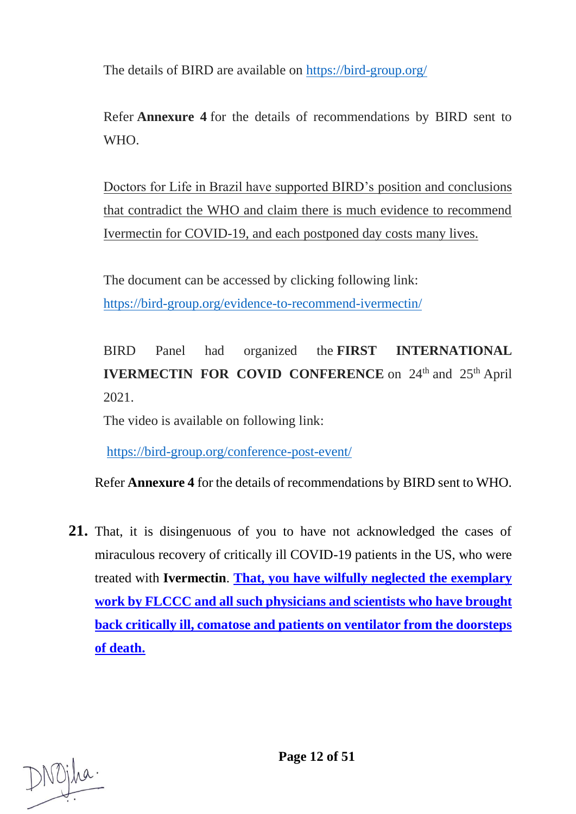The details of BIRD are available on <https://bird-group.org/>

Refer **Annexure 4** for the details of recommendations by BIRD sent to WHO.

Doctors for Life in Brazil have supported BIRD's position and conclusions that contradict the WHO and claim there is much evidence to recommend Ivermectin for COVID-19, and each postponed day costs many lives.

The document can be accessed by clicking following link: <https://bird-group.org/evidence-to-recommend-ivermectin/>

BIRD Panel had organized the **FIRST INTERNATIONAL IVERMECTIN FOR COVID CONFERENCE** on 24<sup>th</sup> and 25<sup>th</sup> April 2021.

The video is available on following link:

<https://bird-group.org/conference-post-event/>

Refer **Annexure 4** for the details of recommendations by BIRD sent to WHO.

**21.** That, it is disingenuous of you to have not acknowledged the cases of miraculous recovery of critically ill COVID-19 patients in the US, who were treated with **Ivermectin**. **That, you have wilfully neglected the exemplary work by FLCCC and all such physicians and scientists who have brought back critically ill, comatose and patients on ventilator from the doorsteps of death.**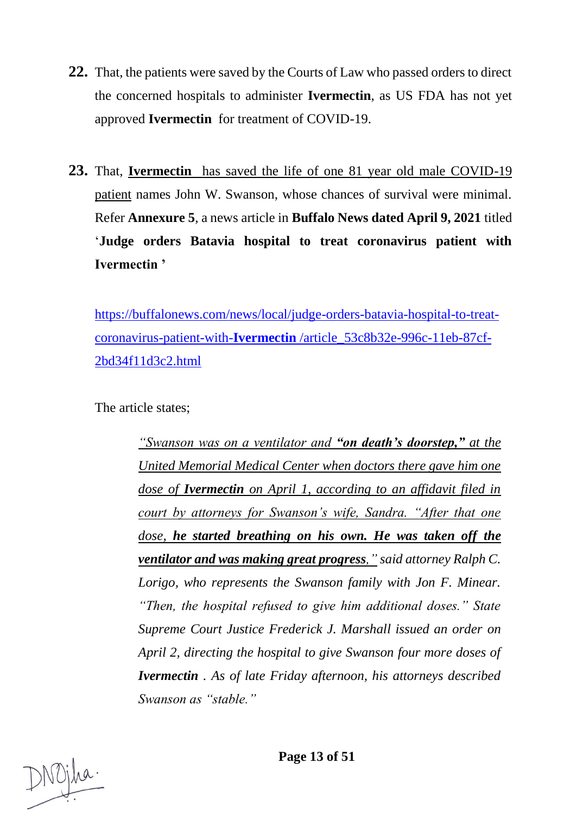- **22.** That, the patients were saved by the Courts of Law who passed orders to direct the concerned hospitals to administer **Ivermectin**, as US FDA has not yet approved **Ivermectin** for treatment of COVID-19.
- **23.** That, **Ivermectin** has saved the life of one 81 year old male COVID-19 patient names John W. Swanson, whose chances of survival were minimal. Refer **Annexure 5**, a news article in **Buffalo News dated April 9, 2021** titled '**Judge orders Batavia hospital to treat coronavirus patient with Ivermectin '**

[https://buffalonews.com/news/local/judge-orders-batavia-hospital-to-treat](https://buffalonews.com/news/local/judge-orders-batavia-hospital-to-treat-coronavirus-patient-with-Ivermectin%20/article_53c8b32e-996c-11eb-87cf-2bd34f11d3c2.html)coronavirus-patient-with-**Ivermectin** [/article\\_53c8b32e-996c-11eb-87cf-](https://buffalonews.com/news/local/judge-orders-batavia-hospital-to-treat-coronavirus-patient-with-Ivermectin%20/article_53c8b32e-996c-11eb-87cf-2bd34f11d3c2.html)[2bd34f11d3c2.html](https://buffalonews.com/news/local/judge-orders-batavia-hospital-to-treat-coronavirus-patient-with-Ivermectin%20/article_53c8b32e-996c-11eb-87cf-2bd34f11d3c2.html)

The article states;

*"Swanson was on a ventilator and "on death's doorstep," at the United Memorial Medical Center when doctors there gave him one dose of Ivermectin on April 1, according to an affidavit filed in court by attorneys for Swanson's wife, Sandra. "After that one dose, he started breathing on his own. He was taken off the ventilator and was making great progress," said attorney Ralph C. Lorigo, who represents the Swanson family with Jon F. Minear. "Then, the hospital refused to give him additional doses." State Supreme Court Justice Frederick J. Marshall issued an order on April 2, directing the hospital to give Swanson four more doses of Ivermectin . As of late Friday afternoon, his attorneys described Swanson as "stable."*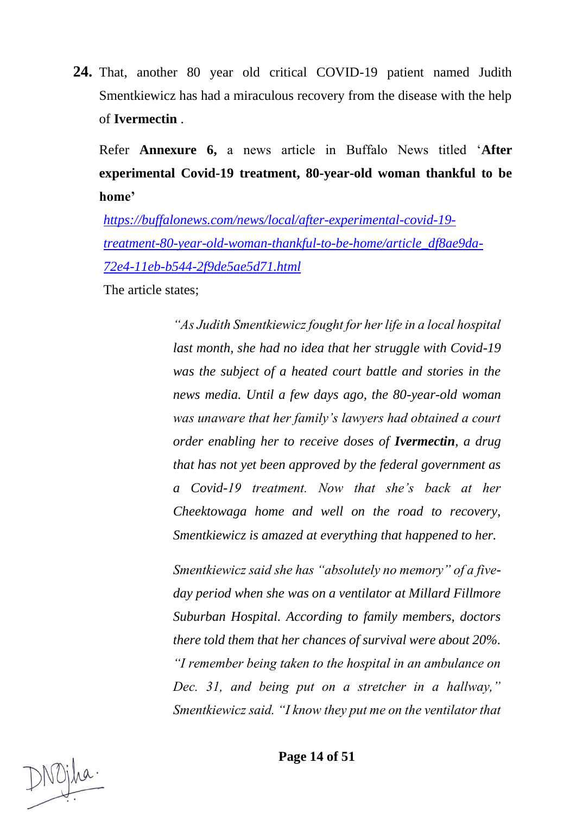**24.** That, another 80 year old critical COVID-19 patient named Judith Smentkiewicz has had a miraculous recovery from the disease with the help of **Ivermectin** .

Refer **Annexure 6,** a news article in Buffalo News titled '**After experimental Covid-19 treatment, 80-year-old woman thankful to be home'**

*[https://buffalonews.com/news/local/after-experimental-covid-19](https://buffalonews.com/news/local/after-experimental-covid-19-treatment-80-year-old-woman-thankful-to-be-home/article_df8ae9da-72e4-11eb-b544-2f9de5ae5d71.html) [treatment-80-year-old-woman-thankful-to-be-home/article\\_df8ae9da-](https://buffalonews.com/news/local/after-experimental-covid-19-treatment-80-year-old-woman-thankful-to-be-home/article_df8ae9da-72e4-11eb-b544-2f9de5ae5d71.html)[72e4-11eb-b544-2f9de5ae5d71.html](https://buffalonews.com/news/local/after-experimental-covid-19-treatment-80-year-old-woman-thankful-to-be-home/article_df8ae9da-72e4-11eb-b544-2f9de5ae5d71.html)*

The article states;

*"As Judith Smentkiewicz fought for her life in a local hospital last month, she had no idea that her struggle with Covid-19 was the subject of a heated court battle and stories in the news media. Until a few days ago, the 80-year-old woman was unaware that her family's lawyers had obtained a court order enabling her to receive doses of Ivermectin, a drug that has not yet been approved by the federal government as a Covid-19 treatment. Now that she's back at her Cheektowaga home and well on the road to recovery, Smentkiewicz is amazed at everything that happened to her.* 

*Smentkiewicz said she has "absolutely no memory" of a fiveday period when she was on a ventilator at Millard Fillmore Suburban Hospital. According to family members, doctors there told them that her chances of survival were about 20%. "I remember being taken to the hospital in an ambulance on Dec. 31, and being put on a stretcher in a hallway," Smentkiewicz said. "I know they put me on the ventilator that*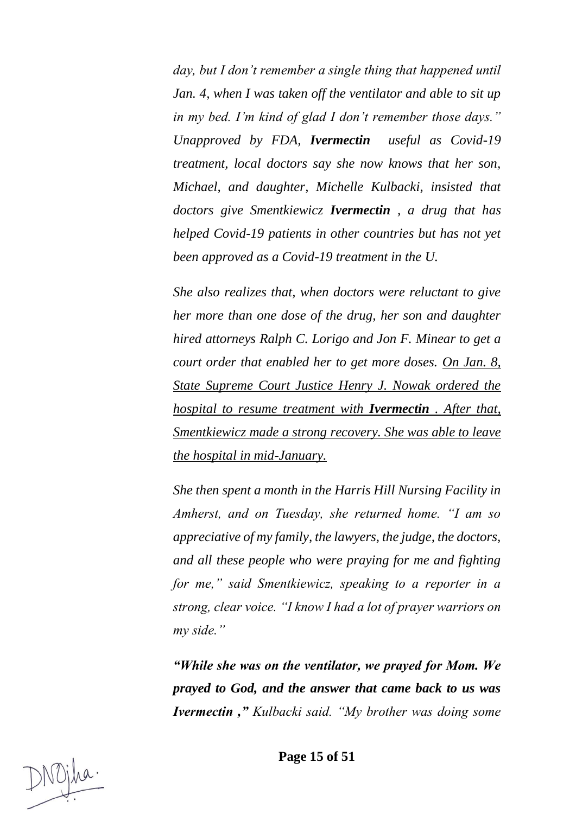*day, but I don't remember a single thing that happened until Jan. 4, when I was taken off the ventilator and able to sit up in my bed. I'm kind of glad I don't remember those days." Unapproved by FDA, Ivermectin useful as Covid-19 treatment, local doctors say she now knows that her son, Michael, and daughter, Michelle Kulbacki, insisted that doctors give Smentkiewicz Ivermectin , a drug that has helped Covid-19 patients in other countries but has not yet been approved as a Covid-19 treatment in the U.*

*She also realizes that, when doctors were reluctant to give her more than one dose of the drug, her son and daughter hired attorneys Ralph C. Lorigo and Jon F. Minear to get a court order that enabled her to get more doses. On Jan. 8, State Supreme Court Justice Henry J. Nowak ordered the hospital to resume treatment with Ivermectin . After that, Smentkiewicz made a strong recovery. She was able to leave the hospital in mid-January.*

*She then spent a month in the Harris Hill Nursing Facility in Amherst, and on Tuesday, she returned home. "I am so appreciative of my family, the lawyers, the judge, the doctors, and all these people who were praying for me and fighting for me," said Smentkiewicz, speaking to a reporter in a strong, clear voice. "I know I had a lot of prayer warriors on my side."*

*"While she was on the ventilator, we prayed for Mom. We prayed to God, and the answer that came back to us was Ivermectin ," Kulbacki said. "My brother was doing some*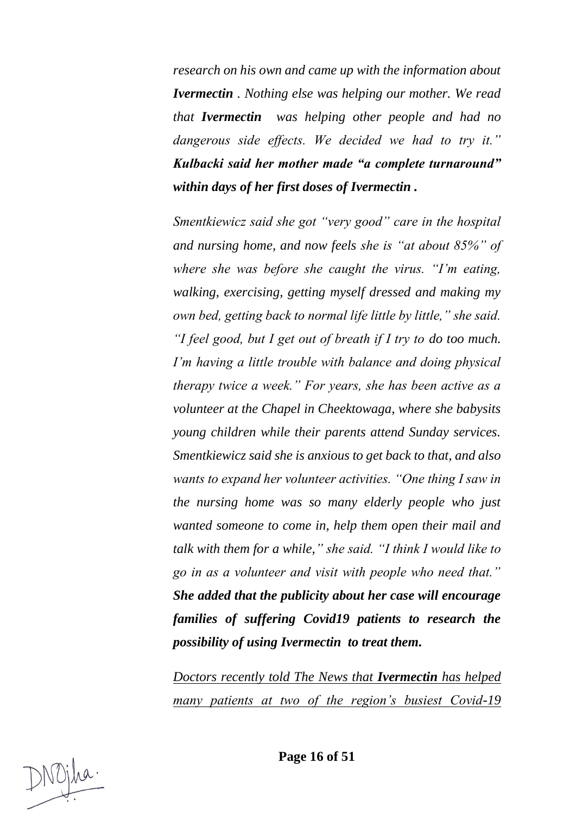*research on his own and came up with the information about Ivermectin . Nothing else was helping our mother. We read that Ivermectin was helping other people and had no dangerous side effects. We decided we had to try it." Kulbacki said her mother made "a complete turnaround" within days of her first doses of Ivermectin .*

*Smentkiewicz said she got "very good" care in the hospital and nursing home, and now feels she is "at about 85%" of where she was before she caught the virus. "I'm eating, walking, exercising, getting myself dressed and making my own bed, getting back to normal life little by little," she said. "I feel good, but I get out of breath if I try to do too much. I'm having a little trouble with balance and doing physical therapy twice a week." For years, she has been active as a volunteer at the Chapel in Cheektowaga, where she babysits young children while their parents attend Sunday services. Smentkiewicz said she is anxious to get back to that, and also wants to expand her volunteer activities. "One thing I saw in the nursing home was so many elderly people who just wanted someone to come in, help them open their mail and talk with them for a while," she said. "I think I would like to go in as a volunteer and visit with people who need that." She added that the publicity about her case will encourage families of suffering Covid19 patients to research the possibility of using Ivermectin to treat them.*

*Doctors recently told The News that Ivermectin has helped many patients at two of the region's busiest Covid-19*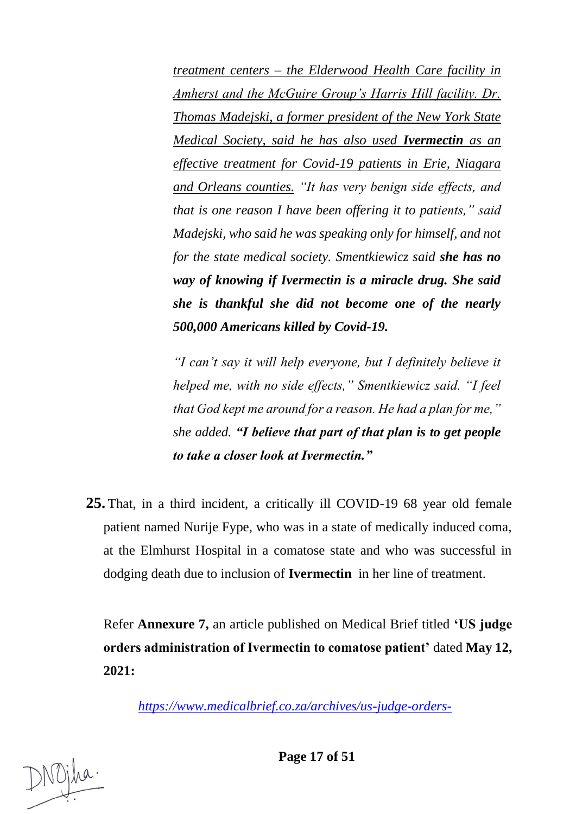*treatment centers – the Elderwood Health Care facility in Amherst and the McGuire Group's Harris Hill facility. Dr. Thomas Madejski, a former president of the New York State Medical Society, said he has also used Ivermectin as an effective treatment for Covid-19 patients in Erie, Niagara and Orleans counties. "It has very benign side effects, and that is one reason I have been offering it to patients," said Madejski, who said he was speaking only for himself, and not for the state medical society. Smentkiewicz said she has no way of knowing if Ivermectin is a miracle drug. She said she is thankful she did not become one of the nearly 500,000 Americans killed by Covid-19.* 

*"I can't say it will help everyone, but I definitely believe it helped me, with no side effects," Smentkiewicz said. "I feel that God kept me around for a reason. He had a plan for me," she added. "I believe that part of that plan is to get people to take a closer look at Ivermectin."*

**25.** That, in a third incident, a critically ill COVID-19 68 year old female patient named Nurije Fype, who was in a state of medically induced coma, at the Elmhurst Hospital in a comatose state and who was successful in dodging death due to inclusion of **Ivermectin** in her line of treatment.

Refer **Annexure 7,** an article published on Medical Brief titled **'US judge orders administration of Ivermectin to comatose patient'** dated **May 12, 2021:**

*[https://www.medicalbrief.co.za/archives/us-judge-orders-](https://www.medicalbrief.co.za/archives/us-judge-orders-administration-of-ivermectin-to-comatose-patient/)*

**Page 17 of 51**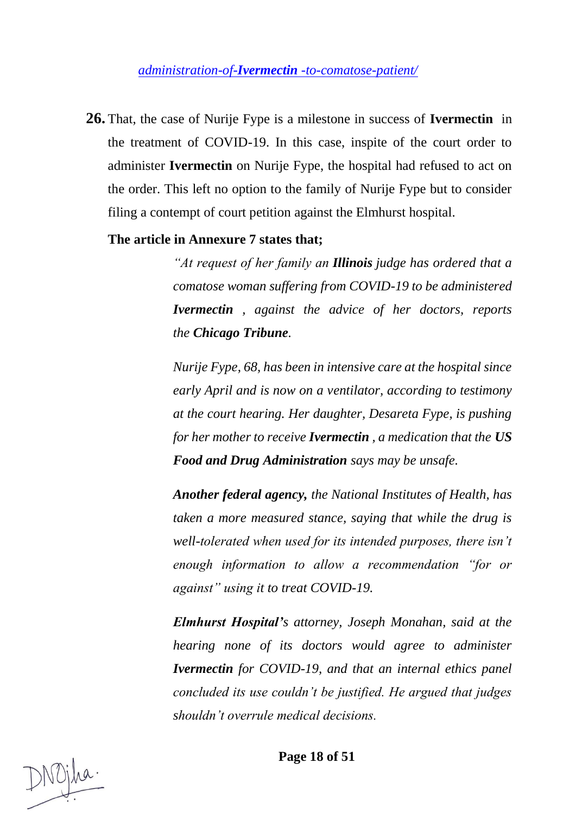*administration-of-Ivermectin [-to-comatose-patient/](https://www.medicalbrief.co.za/archives/us-judge-orders-administration-of-ivermectin-to-comatose-patient/)*

**26.** That, the case of Nurije Fype is a milestone in success of **Ivermectin** in the treatment of COVID-19. In this case, inspite of the court order to administer **Ivermectin** on Nurije Fype, the hospital had refused to act on the order. This left no option to the family of Nurije Fype but to consider filing a contempt of court petition against the Elmhurst hospital.

#### **The article in Annexure 7 states that;**

*"At request of her family an Illinois judge has ordered that a comatose woman suffering from COVID-19 to be administered Ivermectin , against the advice of her doctors, reports the Chicago Tribune.*

*Nurije Fype, 68, has been in intensive care at the hospital since early April and is now on a ventilator, according to testimony at the court hearing. Her daughter, Desareta Fype, is pushing for her mother to receive Ivermectin , a medication that the US Food and Drug Administration says may be unsafe.*

*Another federal agency, the National Institutes of Health, has taken a more measured stance, saying that while the drug is well-tolerated when used for its intended purposes, there isn't enough information to allow a recommendation "for or against" using it to treat COVID-19.*

*Elmhurst Hospital's attorney, Joseph Monahan, said at the hearing none of its doctors would agree to administer Ivermectin for COVID-19, and that an internal ethics panel concluded its use couldn't be justified. He argued that judges shouldn't overrule medical decisions.*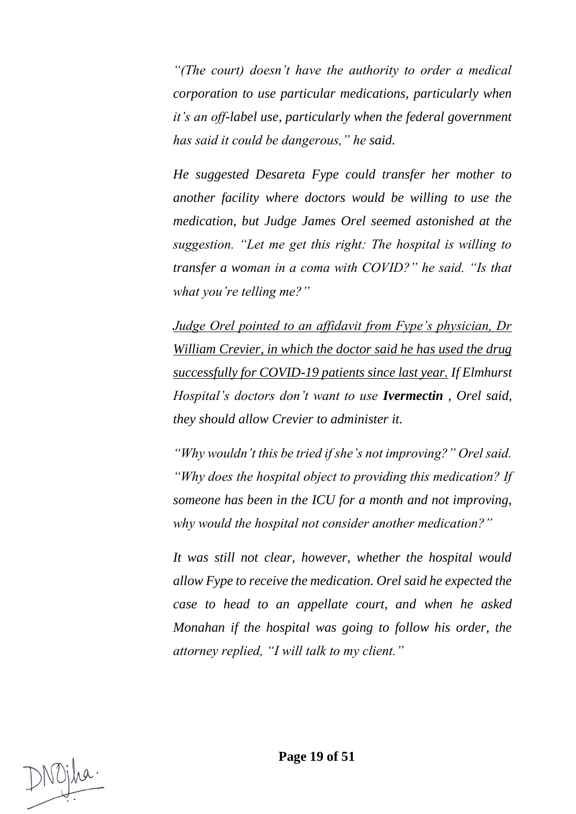*"(The court) doesn't have the authority to order a medical corporation to use particular medications, particularly when it's an off-label use, particularly when the federal government has said it could be dangerous," he said.*

*He suggested Desareta Fype could transfer her mother to another facility where doctors would be willing to use the medication, but Judge James Orel seemed astonished at the suggestion. "Let me get this right: The hospital is willing to transfer a woman in a coma with COVID?" he said. "Is that what you're telling me?"*

*Judge Orel pointed to an affidavit from Fype's physician, Dr William Crevier, in which the doctor said he has used the drug successfully for COVID-19 patients since last year. If Elmhurst Hospital's doctors don't want to use Ivermectin , Orel said, they should allow Crevier to administer it.*

*"Why wouldn't this be tried if she's not improving?" Orel said. "Why does the hospital object to providing this medication? If someone has been in the ICU for a month and not improving, why would the hospital not consider another medication?"*

*It was still not clear, however, whether the hospital would allow Fype to receive the medication. Orel said he expected the case to head to an appellate court, and when he asked Monahan if the hospital was going to follow his order, the attorney replied, "I will talk to my client."*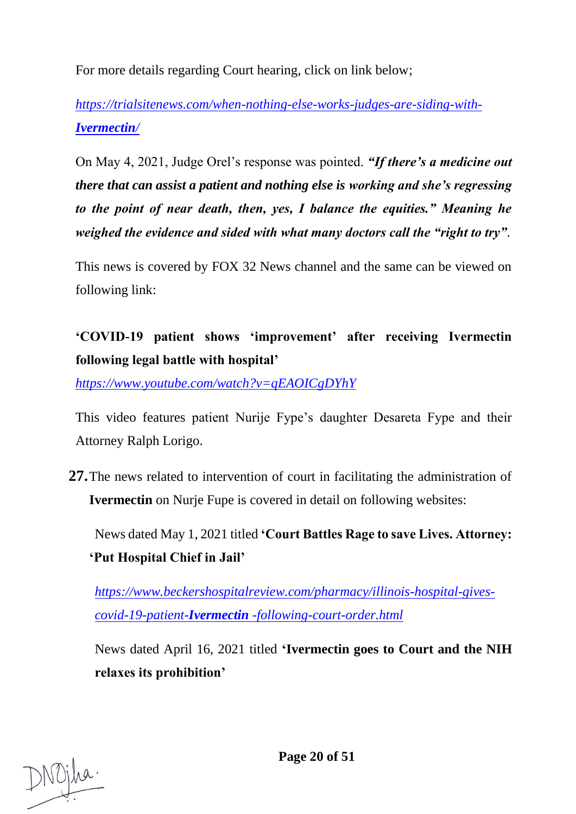For more details regarding Court hearing, click on link below;

*[https://trialsitenews.com/when-nothing-else-works-judges-are-siding-with-](https://trialsitenews.com/when-nothing-else-works-judges-are-siding-with-Ivermectin/)[Ivermectin](https://trialsitenews.com/when-nothing-else-works-judges-are-siding-with-Ivermectin/)/*

On May 4, 2021, Judge Orel's response was pointed. *"If there's a medicine out there that can assist a patient and nothing else is working and she's regressing to the point of near death, then, yes, I balance the equities." Meaning he weighed the evidence and sided with what many doctors call the "right to try".*

This news is covered by FOX 32 News channel and the same can be viewed on following link:

# **'COVID-19 patient shows 'improvement' after receiving Ivermectin following legal battle with hospital'**

*<https://www.youtube.com/watch?v=qEAOICgDYhY>*

This video features patient Nurije Fype's daughter Desareta Fype and their Attorney Ralph Lorigo.

**27.**The news related to intervention of court in facilitating the administration of **Ivermectin** on Nurje Fupe is covered in detail on following websites:

News dated May 1, 2021 titled **'Court Battles Rage to save Lives. Attorney: 'Put Hospital Chief in Jail'**

*[https://www.beckershospitalreview.com/pharmacy/illinois-hospital-gives](https://www.beckershospitalreview.com/pharmacy/illinois-hospital-gives-covid-19-patient-ivermectin-following-court-order.html)covid-19-patient-Ivermectin [-following-court-order.html](https://www.beckershospitalreview.com/pharmacy/illinois-hospital-gives-covid-19-patient-ivermectin-following-court-order.html)*

News dated April 16, 2021 titled **'Ivermectin goes to Court and the NIH relaxes its prohibition'**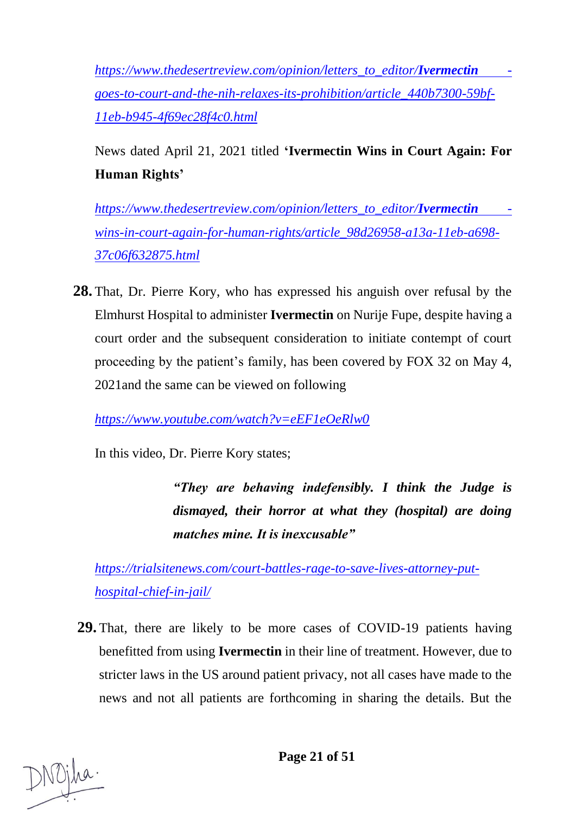*[https://www.thedesertreview.com/opinion/letters\\_to\\_editor/](https://www.thedesertreview.com/opinion/letters_to_editor/ivermectin-goes-to-court-and-the-nih-relaxes-its-prohibition/article_440b7300-59bf-11eb-b945-4f69ec28f4c0.html)Ivermectin [goes-to-court-and-the-nih-relaxes-its-prohibition/article\\_440b7300-59bf-](https://www.thedesertreview.com/opinion/letters_to_editor/ivermectin-goes-to-court-and-the-nih-relaxes-its-prohibition/article_440b7300-59bf-11eb-b945-4f69ec28f4c0.html)[11eb-b945-4f69ec28f4c0.html](https://www.thedesertreview.com/opinion/letters_to_editor/ivermectin-goes-to-court-and-the-nih-relaxes-its-prohibition/article_440b7300-59bf-11eb-b945-4f69ec28f4c0.html)*

News dated April 21, 2021 titled **'Ivermectin Wins in Court Again: For Human Rights'**

*[https://www.thedesertreview.com/opinion/letters\\_to\\_editor/](https://www.thedesertreview.com/opinion/letters_to_editor/Ivermectin%20-wins-in-court-again-for-human-rights/article_98d26958-a13a-11eb-a698-37c06f632875.html)Ivermectin [wins-in-court-again-for-human-rights/article\\_98d26958-a13a-11eb-a698-](https://www.thedesertreview.com/opinion/letters_to_editor/Ivermectin%20-wins-in-court-again-for-human-rights/article_98d26958-a13a-11eb-a698-37c06f632875.html) [37c06f632875.html](https://www.thedesertreview.com/opinion/letters_to_editor/Ivermectin%20-wins-in-court-again-for-human-rights/article_98d26958-a13a-11eb-a698-37c06f632875.html)*

**28.** That, Dr. Pierre Kory, who has expressed his anguish over refusal by the Elmhurst Hospital to administer **Ivermectin** on Nurije Fupe, despite having a court order and the subsequent consideration to initiate contempt of court proceeding by the patient's family, has been covered by FOX 32 on May 4, 2021and the same can be viewed on following

*<https://www.youtube.com/watch?v=eEF1eOeRlw0>*

In this video, Dr. Pierre Kory states;

*"They are behaving indefensibly. I think the Judge is dismayed, their horror at what they (hospital) are doing matches mine. It is inexcusable"*

*[https://trialsitenews.com/court-battles-rage-to-save-lives-attorney-put](https://trialsitenews.com/court-battles-rage-to-save-lives-attorney-put-hospital-chief-in-jail/)[hospital-chief-in-jail/](https://trialsitenews.com/court-battles-rage-to-save-lives-attorney-put-hospital-chief-in-jail/)*

**29.** That, there are likely to be more cases of COVID-19 patients having benefitted from using **Ivermectin** in their line of treatment. However, due to stricter laws in the US around patient privacy, not all cases have made to the news and not all patients are forthcoming in sharing the details. But the

**Page 21 of 51**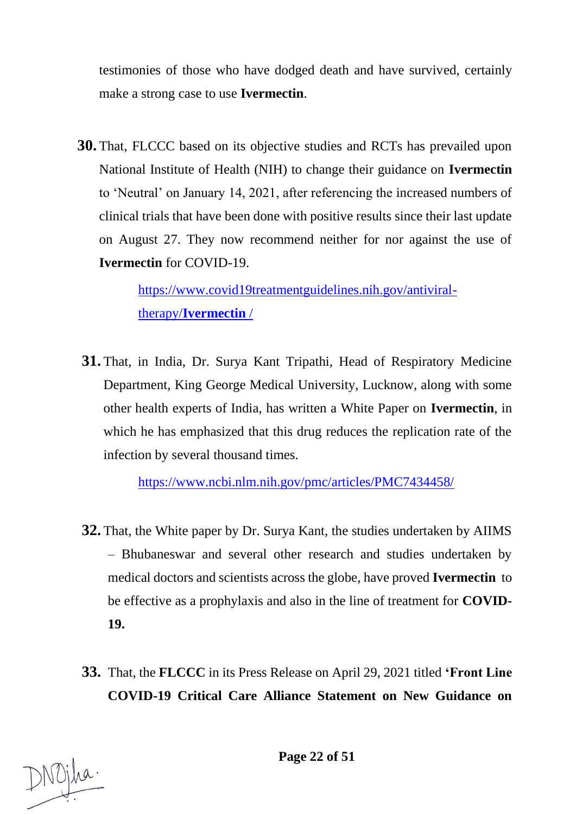testimonies of those who have dodged death and have survived, certainly make a strong case to use **Ivermectin**.

**30.** That, FLCCC based on its objective studies and RCTs has prevailed upon National Institute of Health (NIH) to change their guidance on **Ivermectin**  to 'Neutral' on January 14, 2021, after referencing the increased numbers of clinical trials that have been done with positive results since their last update on August 27. They now recommend neither for nor against the use of **Ivermectin** for COVID-19.

> [https://www.covid19treatmentguidelines.nih.gov/antiviral](https://www.covid19treatmentguidelines.nih.gov/antiviral-therapy/ivermectin/)therapy/**[Ivermectin](https://www.covid19treatmentguidelines.nih.gov/antiviral-therapy/ivermectin/)** /

**31.** That, in India, Dr. Surya Kant Tripathi, Head of Respiratory Medicine Department, King George Medical University, Lucknow, along with some other health experts of India, has written a White Paper on **Ivermectin**, in which he has emphasized that this drug reduces the replication rate of the infection by several thousand times.

<https://www.ncbi.nlm.nih.gov/pmc/articles/PMC7434458/>

- **32.** That, the White paper by Dr. Surya Kant, the studies undertaken by AIIMS – Bhubaneswar and several other research and studies undertaken by medical doctors and scientists across the globe, have proved **Ivermectin** to be effective as a prophylaxis and also in the line of treatment for **COVID-19.**
- **33.** That, the **FLCCC** in its Press Release on April 29, 2021 titled **'Front Line COVID-19 Critical Care Alliance Statement on New Guidance on**

**Page 22 of 51**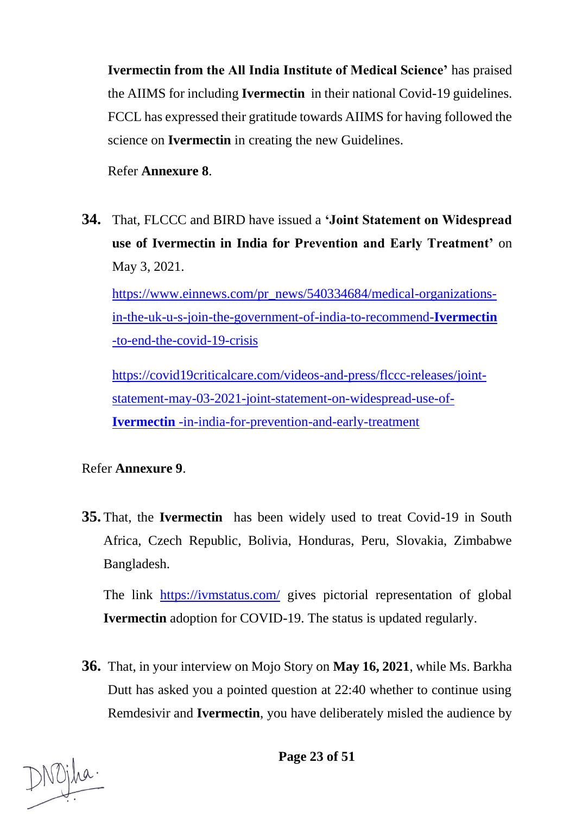**Ivermectin from the All India Institute of Medical Science'** has praised the AIIMS for including **Ivermectin** in their national Covid-19 guidelines. FCCL has expressed their gratitude towards AIIMS for having followed the science on **Ivermectin** in creating the new Guidelines.

Refer **Annexure 8**.

**34.** That, FLCCC and BIRD have issued a **'Joint Statement on Widespread use of Ivermectin in India for Prevention and Early Treatment'** on May 3, 2021.

[https://www.einnews.com/pr\\_news/540334684/medical-organizations](https://www.einnews.com/pr_news/540334684/medical-organizations-in-the-uk-u-s-join-the-government-of-india-to-recommend-ivermectin-to-end-the-covid-19-crisis)[in-the-uk-u-s-join-the-government-of-india-to-recommend-](https://www.einnews.com/pr_news/540334684/medical-organizations-in-the-uk-u-s-join-the-government-of-india-to-recommend-ivermectin-to-end-the-covid-19-crisis)**Ivermectin**  [-to-end-the-covid-19-crisis](https://www.einnews.com/pr_news/540334684/medical-organizations-in-the-uk-u-s-join-the-government-of-india-to-recommend-ivermectin-to-end-the-covid-19-crisis)

[https://covid19criticalcare.com/videos-and-press/flccc-releases/joint](https://covid19criticalcare.com/videos-and-press/flccc-releases/joint-statement-may-03-2021-joint-statement-on-widespread-use-of-ivermectin-in-india-for-prevention-and-early-treatment)[statement-may-03-2021-joint-statement-on-widespread-use-of-](https://covid19criticalcare.com/videos-and-press/flccc-releases/joint-statement-may-03-2021-joint-statement-on-widespread-use-of-ivermectin-in-india-for-prevention-and-early-treatment)**Ivermectin** [-in-india-for-prevention-and-early-treatment](https://covid19criticalcare.com/videos-and-press/flccc-releases/joint-statement-may-03-2021-joint-statement-on-widespread-use-of-ivermectin-in-india-for-prevention-and-early-treatment)

## Refer **Annexure 9**.

**35.** That, the **Ivermectin** has been widely used to treat Covid-19 in South Africa, Czech Republic, Bolivia, Honduras, Peru, Slovakia, Zimbabwe Bangladesh.

The link <https://ivmstatus.com/> gives pictorial representation of global **Ivermectin** adoption for COVID-19. The status is updated regularly.

**36.** That, in your interview on Mojo Story on **May 16, 2021**, while Ms. Barkha Dutt has asked you a pointed question at 22:40 whether to continue using Remdesivir and **Ivermectin**, you have deliberately misled the audience by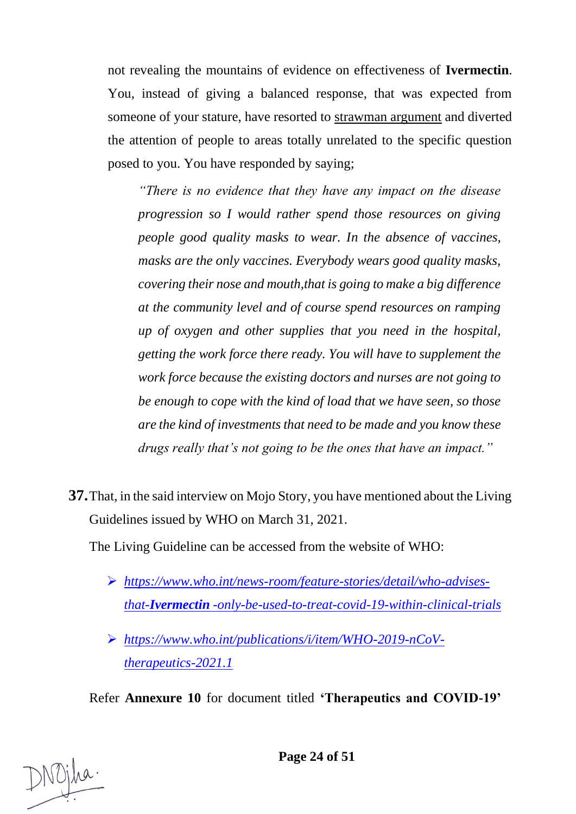not revealing the mountains of evidence on effectiveness of **Ivermectin**. You, instead of giving a balanced response, that was expected from someone of your stature, have resorted to strawman argument and diverted the attention of people to areas totally unrelated to the specific question posed to you. You have responded by saying;

*"There is no evidence that they have any impact on the disease progression so I would rather spend those resources on giving people good quality masks to wear. In the absence of vaccines, masks are the only vaccines. Everybody wears good quality masks, covering their nose and mouth,that is going to make a big difference at the community level and of course spend resources on ramping up of oxygen and other supplies that you need in the hospital, getting the work force there ready. You will have to supplement the work force because the existing doctors and nurses are not going to be enough to cope with the kind of load that we have seen, so those are the kind of investments that need to be made and you know these drugs really that's not going to be the ones that have an impact."*

**37.**That, in the said interview on Mojo Story, you have mentioned about the Living Guidelines issued by WHO on March 31, 2021.

The Living Guideline can be accessed from the website of WHO:

- ➢ *[https://www.who.int/news-room/feature-stories/detail/who-advises](https://www.who.int/news-room/feature-stories/detail/who-advises-that-Ivermectin%20-only-be-used-to-treat-covid-19-within-clinical-trials)that-Ivermectin [-only-be-used-to-treat-covid-19-within-clinical-trials](https://www.who.int/news-room/feature-stories/detail/who-advises-that-Ivermectin%20-only-be-used-to-treat-covid-19-within-clinical-trials)*
- ➢ *https://www.who.int/publications/i/item/WHO-2019-nCoVtherapeutics-2021.1*

Refer **Annexure 10** for document titled **'Therapeutics and COVID-19'** 

**Page 24 of 51**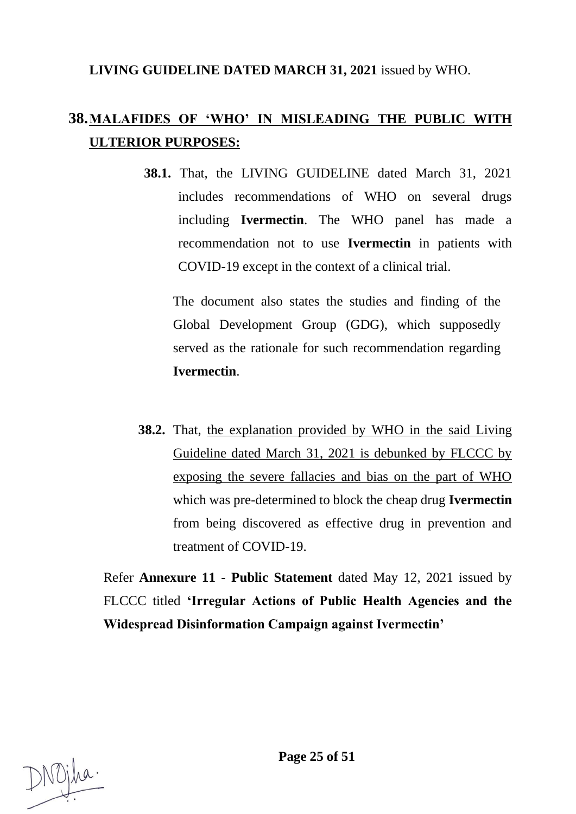## **LIVING GUIDELINE DATED MARCH 31, 2021** issued by WHO.

## **38.MALAFIDES OF 'WHO' IN MISLEADING THE PUBLIC WITH ULTERIOR PURPOSES:**

**38.1.** That, the LIVING GUIDELINE dated March 31, 2021 includes recommendations of WHO on several drugs including **Ivermectin**. The WHO panel has made a recommendation not to use **Ivermectin** in patients with COVID-19 except in the context of a clinical trial.

The document also states the studies and finding of the Global Development Group (GDG), which supposedly served as the rationale for such recommendation regarding **Ivermectin**.

**38.2.** That, the explanation provided by WHO in the said Living Guideline dated March 31, 2021 is debunked by FLCCC by exposing the severe fallacies and bias on the part of WHO which was pre-determined to block the cheap drug **Ivermectin**  from being discovered as effective drug in prevention and treatment of COVID-19.

Refer **Annexure 11** - **Public Statement** dated May 12, 2021 issued by FLCCC titled **'Irregular Actions of Public Health Agencies and the Widespread Disinformation Campaign against Ivermectin'**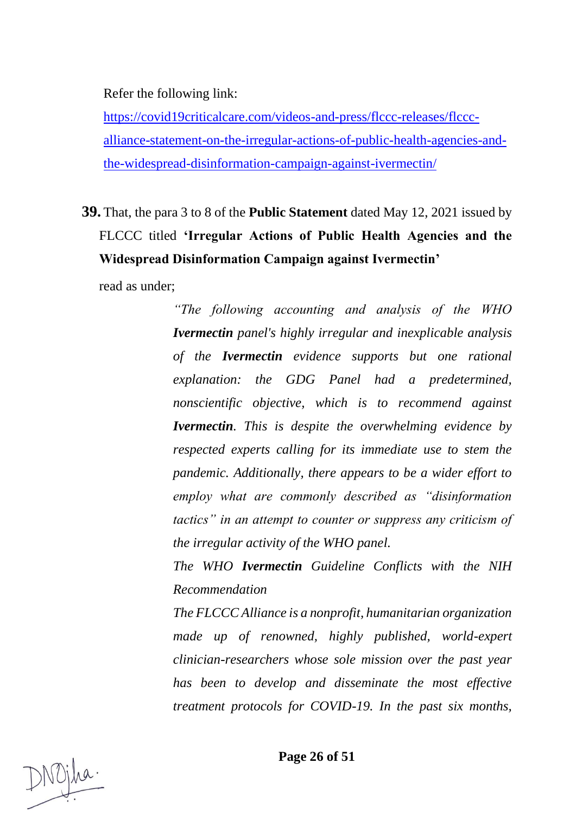Refer the following link:

[https://covid19criticalcare.com/videos-and-press/flccc-releases/flccc](https://covid19criticalcare.com/videos-and-press/flccc-releases/flccc-alliance-statement-on-the-irregular-actions-of-public-health-agencies-and-the-widespread-disinformation-campaign-against-ivermectin/)[alliance-statement-on-the-irregular-actions-of-public-health-agencies-and](https://covid19criticalcare.com/videos-and-press/flccc-releases/flccc-alliance-statement-on-the-irregular-actions-of-public-health-agencies-and-the-widespread-disinformation-campaign-against-ivermectin/)[the-widespread-disinformation-campaign-against-ivermectin/](https://covid19criticalcare.com/videos-and-press/flccc-releases/flccc-alliance-statement-on-the-irregular-actions-of-public-health-agencies-and-the-widespread-disinformation-campaign-against-ivermectin/)

**39.** That, the para 3 to 8 of the **Public Statement** dated May 12, 2021 issued by FLCCC titled **'Irregular Actions of Public Health Agencies and the Widespread Disinformation Campaign against Ivermectin'**

read as under;

*"The following accounting and analysis of the WHO Ivermectin panel's highly irregular and inexplicable analysis of the Ivermectin evidence supports but one rational explanation: the GDG Panel had a predetermined, nonscientific objective, which is to recommend against Ivermectin. This is despite the overwhelming evidence by respected experts calling for its immediate use to stem the pandemic. Additionally, there appears to be a wider effort to employ what are commonly described as "disinformation tactics" in an attempt to counter or suppress any criticism of the irregular activity of the WHO panel.* 

*The WHO Ivermectin Guideline Conflicts with the NIH Recommendation* 

*The FLCCC Alliance is a nonprofit, humanitarian organization made up of renowned, highly published, world-expert clinician-researchers whose sole mission over the past year has been to develop and disseminate the most effective treatment protocols for COVID-19. In the past six months,*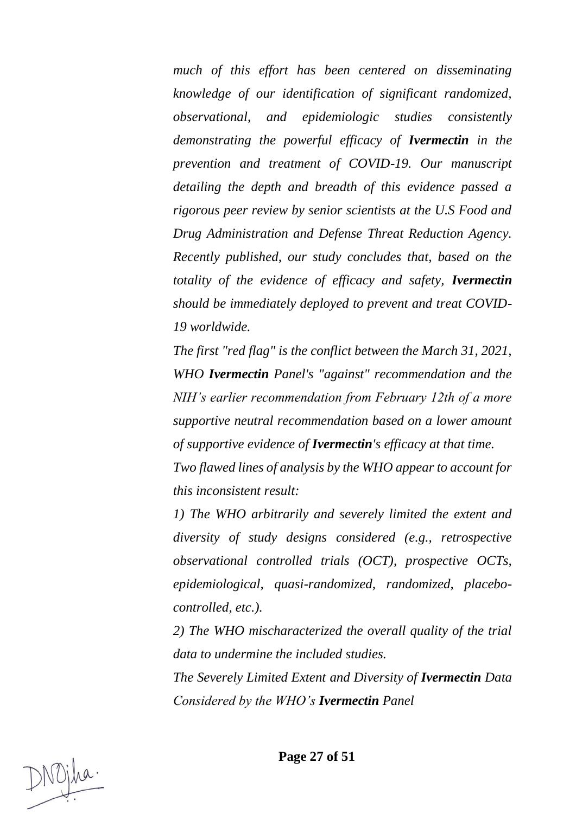*much of this effort has been centered on disseminating knowledge of our identification of significant randomized, observational, and epidemiologic studies consistently demonstrating the powerful efficacy of Ivermectin in the prevention and treatment of COVID-19. Our manuscript detailing the depth and breadth of this evidence passed a rigorous peer review by senior scientists at the U.S Food and Drug Administration and Defense Threat Reduction Agency. Recently published, our study concludes that, based on the totality of the evidence of efficacy and safety, Ivermectin should be immediately deployed to prevent and treat COVID-19 worldwide.* 

*The first "red flag" is the conflict between the March 31, 2021, WHO Ivermectin Panel's "against" recommendation and the NIH's earlier recommendation from February 12th of a more supportive neutral recommendation based on a lower amount of supportive evidence of Ivermectin's efficacy at that time.* 

*Two flawed lines of analysis by the WHO appear to account for this inconsistent result:* 

*1) The WHO arbitrarily and severely limited the extent and diversity of study designs considered (e.g., retrospective observational controlled trials (OCT), prospective OCTs, epidemiological, quasi-randomized, randomized, placebocontrolled, etc.).* 

*2) The WHO mischaracterized the overall quality of the trial data to undermine the included studies.* 

*The Severely Limited Extent and Diversity of Ivermectin Data Considered by the WHO's Ivermectin Panel*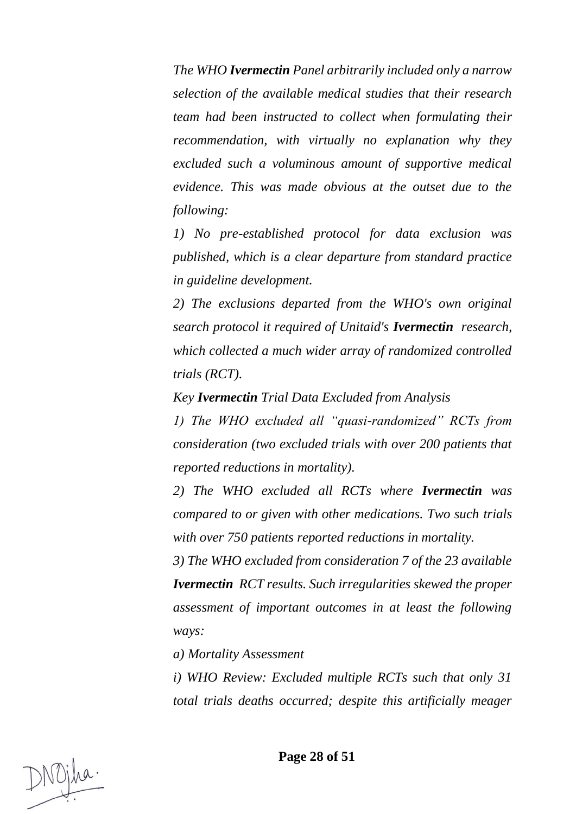*The WHO Ivermectin Panel arbitrarily included only a narrow selection of the available medical studies that their research team had been instructed to collect when formulating their recommendation, with virtually no explanation why they excluded such a voluminous amount of supportive medical evidence. This was made obvious at the outset due to the following:* 

*1) No pre-established protocol for data exclusion was published, which is a clear departure from standard practice in guideline development.* 

*2) The exclusions departed from the WHO's own original search protocol it required of Unitaid's Ivermectin research, which collected a much wider array of randomized controlled trials (RCT).* 

*Key Ivermectin Trial Data Excluded from Analysis* 

*1) The WHO excluded all "quasi-randomized" RCTs from consideration (two excluded trials with over 200 patients that reported reductions in mortality).* 

*2) The WHO excluded all RCTs where Ivermectin was compared to or given with other medications. Two such trials with over 750 patients reported reductions in mortality.* 

*3) The WHO excluded from consideration 7 of the 23 available Ivermectin RCT results. Such irregularities skewed the proper assessment of important outcomes in at least the following ways:* 

*a) Mortality Assessment* 

*i) WHO Review: Excluded multiple RCTs such that only 31 total trials deaths occurred; despite this artificially meager*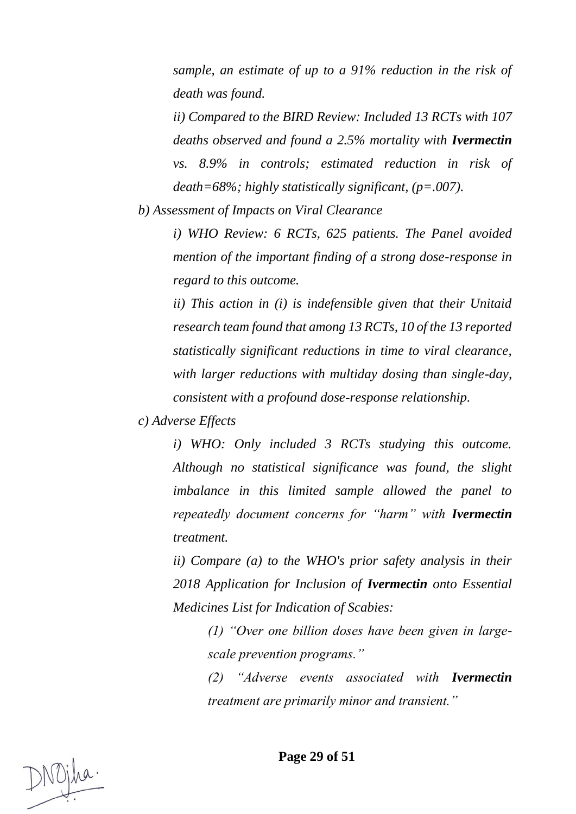*sample, an estimate of up to a 91% reduction in the risk of death was found.* 

*ii) Compared to the BIRD Review: Included 13 RCTs with 107 deaths observed and found a 2.5% mortality with Ivermectin vs. 8.9% in controls; estimated reduction in risk of death=68%; highly statistically significant, (p=.007).* 

*b) Assessment of Impacts on Viral Clearance* 

*i) WHO Review: 6 RCTs, 625 patients. The Panel avoided mention of the important finding of a strong dose-response in regard to this outcome.* 

*ii) This action in (i) is indefensible given that their Unitaid research team found that among 13 RCTs, 10 of the 13 reported statistically significant reductions in time to viral clearance, with larger reductions with multiday dosing than single-day, consistent with a profound dose-response relationship.*

*c) Adverse Effects* 

*i) WHO: Only included 3 RCTs studying this outcome. Although no statistical significance was found, the slight imbalance in this limited sample allowed the panel to repeatedly document concerns for "harm" with Ivermectin treatment.* 

*ii) Compare (a) to the WHO's prior safety analysis in their 2018 Application for Inclusion of Ivermectin onto Essential Medicines List for Indication of Scabies:* 

*(1) "Over one billion doses have been given in largescale prevention programs."* 

*(2) "Adverse events associated with Ivermectin treatment are primarily minor and transient."*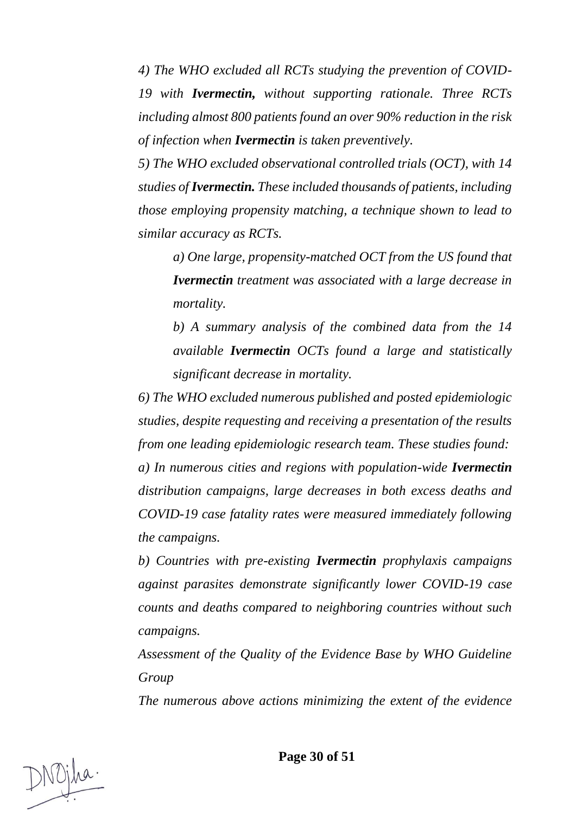*4) The WHO excluded all RCTs studying the prevention of COVID-19 with Ivermectin, without supporting rationale. Three RCTs including almost 800 patients found an over 90% reduction in the risk of infection when Ivermectin is taken preventively.*

*5) The WHO excluded observational controlled trials (OCT), with 14 studies of Ivermectin. These included thousands of patients, including those employing propensity matching, a technique shown to lead to similar accuracy as RCTs.* 

*a) One large, propensity-matched OCT from the US found that Ivermectin treatment was associated with a large decrease in mortality.* 

*b) A summary analysis of the combined data from the 14 available Ivermectin OCTs found a large and statistically significant decrease in mortality.* 

*6) The WHO excluded numerous published and posted epidemiologic studies, despite requesting and receiving a presentation of the results from one leading epidemiologic research team. These studies found: a) In numerous cities and regions with population-wide Ivermectin distribution campaigns, large decreases in both excess deaths and COVID-19 case fatality rates were measured immediately following the campaigns.* 

*b) Countries with pre-existing Ivermectin prophylaxis campaigns against parasites demonstrate significantly lower COVID-19 case counts and deaths compared to neighboring countries without such campaigns.* 

*Assessment of the Quality of the Evidence Base by WHO Guideline Group* 

*The numerous above actions minimizing the extent of the evidence* 

**Page 30 of 51**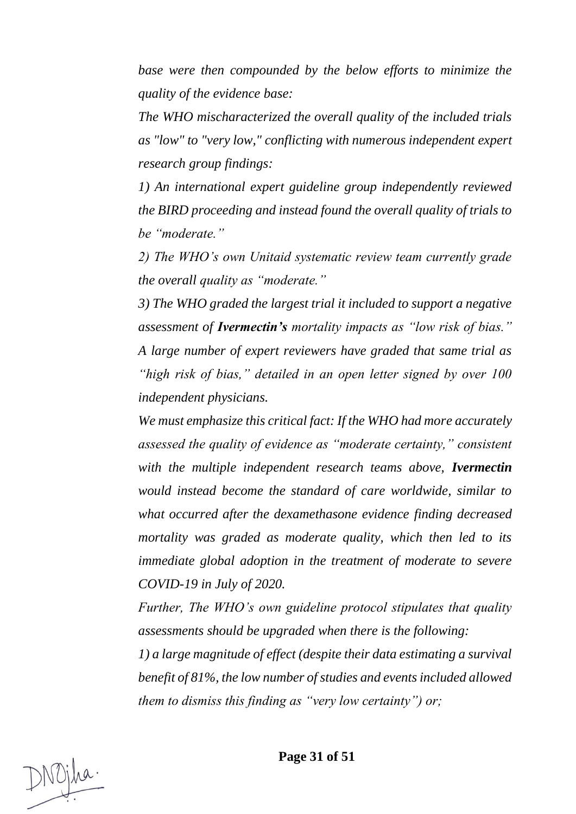*base were then compounded by the below efforts to minimize the quality of the evidence base:* 

*The WHO mischaracterized the overall quality of the included trials as "low" to "very low," conflicting with numerous independent expert research group findings:* 

*1) An international expert guideline group independently reviewed the BIRD proceeding and instead found the overall quality of trials to be "moderate."* 

*2) The WHO's own Unitaid systematic review team currently grade the overall quality as "moderate."* 

*3) The WHO graded the largest trial it included to support a negative assessment of Ivermectin's mortality impacts as "low risk of bias." A large number of expert reviewers have graded that same trial as "high risk of bias," detailed in an open letter signed by over 100 independent physicians.* 

*We must emphasize this critical fact: If the WHO had more accurately assessed the quality of evidence as "moderate certainty," consistent with the multiple independent research teams above, Ivermectin would instead become the standard of care worldwide, similar to what occurred after the dexamethasone evidence finding decreased mortality was graded as moderate quality, which then led to its immediate global adoption in the treatment of moderate to severe COVID-19 in July of 2020.*

*Further, The WHO's own guideline protocol stipulates that quality assessments should be upgraded when there is the following:* 

*1) a large magnitude of effect (despite their data estimating a survival benefit of 81%, the low number of studies and events included allowed them to dismiss this finding as "very low certainty") or;*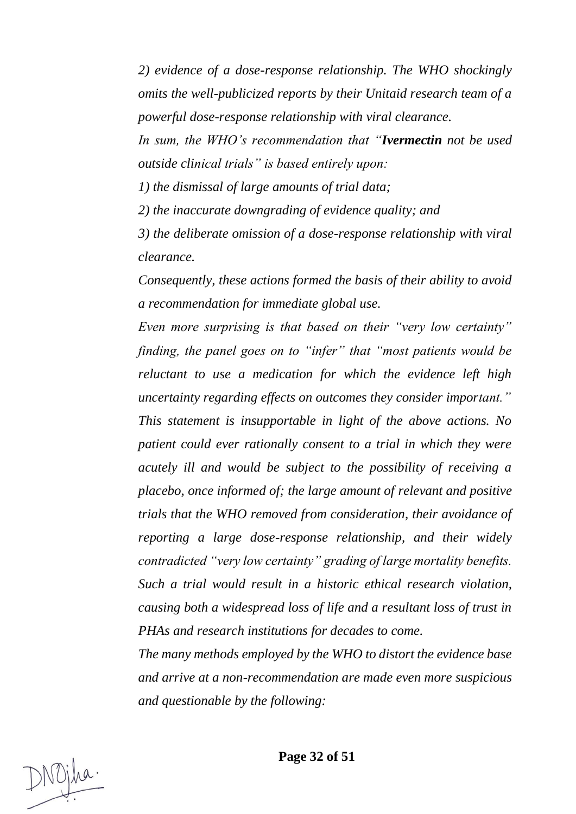*2) evidence of a dose-response relationship. The WHO shockingly omits the well-publicized reports by their Unitaid research team of a powerful dose-response relationship with viral clearance.* 

*In sum, the WHO's recommendation that "Ivermectin not be used outside clinical trials" is based entirely upon:* 

*1) the dismissal of large amounts of trial data;* 

*2) the inaccurate downgrading of evidence quality; and* 

*3) the deliberate omission of a dose-response relationship with viral clearance.* 

*Consequently, these actions formed the basis of their ability to avoid a recommendation for immediate global use.* 

*Even more surprising is that based on their "very low certainty" finding, the panel goes on to "infer" that "most patients would be reluctant to use a medication for which the evidence left high uncertainty regarding effects on outcomes they consider important." This statement is insupportable in light of the above actions. No patient could ever rationally consent to a trial in which they were acutely ill and would be subject to the possibility of receiving a placebo, once informed of; the large amount of relevant and positive trials that the WHO removed from consideration, their avoidance of reporting a large dose-response relationship, and their widely contradicted "very low certainty" grading of large mortality benefits. Such a trial would result in a historic ethical research violation, causing both a widespread loss of life and a resultant loss of trust in PHAs and research institutions for decades to come.* 

*The many methods employed by the WHO to distort the evidence base and arrive at a non-recommendation are made even more suspicious and questionable by the following:*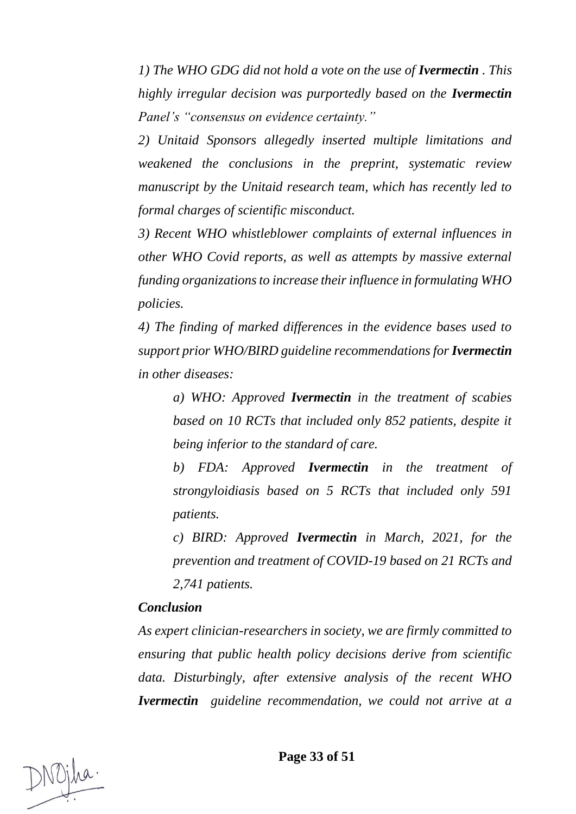*1)* The WHO GDG did not hold a vote on the use of **Ivermectin** . This *highly irregular decision was purportedly based on the Ivermectin Panel's "consensus on evidence certainty."* 

*2) Unitaid Sponsors allegedly inserted multiple limitations and weakened the conclusions in the preprint, systematic review manuscript by the Unitaid research team, which has recently led to formal charges of scientific misconduct.* 

*3) Recent WHO whistleblower complaints of external influences in other WHO Covid reports, as well as attempts by massive external funding organizations to increase their influence in formulating WHO policies.* 

*4) The finding of marked differences in the evidence bases used to support prior WHO/BIRD guideline recommendations for Ivermectin in other diseases:* 

*a) WHO: Approved Ivermectin in the treatment of scabies based on 10 RCTs that included only 852 patients, despite it being inferior to the standard of care.* 

*b) FDA: Approved Ivermectin in the treatment of strongyloidiasis based on 5 RCTs that included only 591 patients.* 

*c) BIRD: Approved Ivermectin in March, 2021, for the prevention and treatment of COVID-19 based on 21 RCTs and 2,741 patients.* 

#### *Conclusion*

*As expert clinician-researchers in society, we are firmly committed to ensuring that public health policy decisions derive from scientific data. Disturbingly, after extensive analysis of the recent WHO Ivermectin guideline recommendation, we could not arrive at a*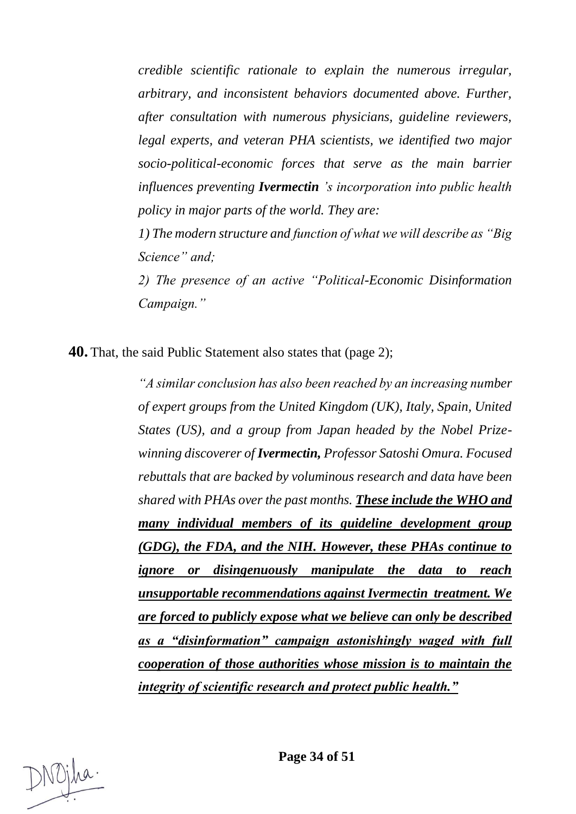*credible scientific rationale to explain the numerous irregular, arbitrary, and inconsistent behaviors documented above. Further, after consultation with numerous physicians, guideline reviewers, legal experts, and veteran PHA scientists, we identified two major socio-political-economic forces that serve as the main barrier influences preventing Ivermectin 's incorporation into public health policy in major parts of the world. They are:* 

*1) The modern structure and function of what we will describe as "Big Science" and;* 

*2) The presence of an active "Political-Economic Disinformation Campaign."*

**40.** That, the said Public Statement also states that (page 2);

*"A similar conclusion has also been reached by an increasing number of expert groups from the United Kingdom (UK), Italy, Spain, United States (US), and a group from Japan headed by the Nobel Prizewinning discoverer of Ivermectin, Professor Satoshi Omura. Focused rebuttals that are backed by voluminous research and data have been shared with PHAs over the past months. These include the WHO and many individual members of its guideline development group (GDG), the FDA, and the NIH. However, these PHAs continue to ignore or disingenuously manipulate the data to reach unsupportable recommendations against Ivermectin treatment. We are forced to publicly expose what we believe can only be described as a "disinformation" campaign astonishingly waged with full cooperation of those authorities whose mission is to maintain the integrity of scientific research and protect public health."*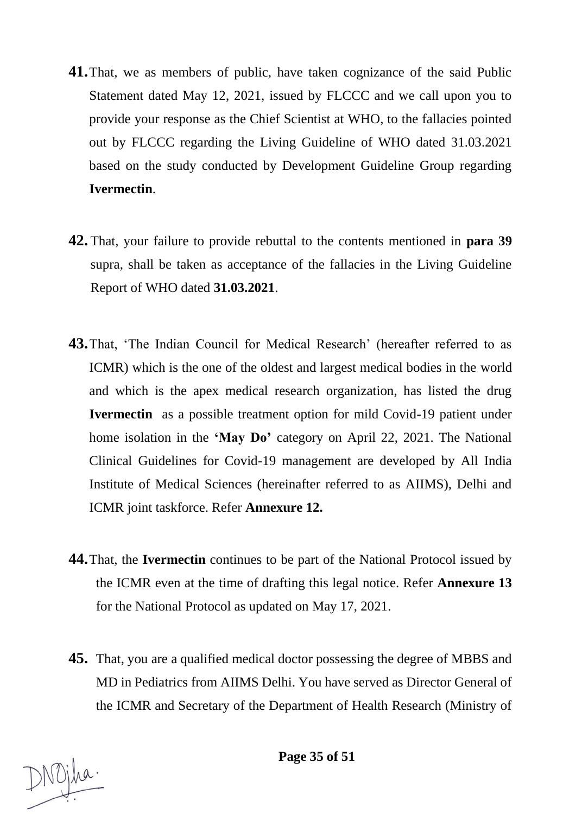- **41.**That, we as members of public, have taken cognizance of the said Public Statement dated May 12, 2021, issued by FLCCC and we call upon you to provide your response as the Chief Scientist at WHO, to the fallacies pointed out by FLCCC regarding the Living Guideline of WHO dated 31.03.2021 based on the study conducted by Development Guideline Group regarding **Ivermectin**.
- **42.** That, your failure to provide rebuttal to the contents mentioned in **para 39** supra, shall be taken as acceptance of the fallacies in the Living Guideline Report of WHO dated **31.03.2021**.
- **43.**That, 'The Indian Council for Medical Research' (hereafter referred to as ICMR) which is the one of the oldest and largest medical bodies in the world and which is the apex medical research organization, has listed the drug **Ivermectin** as a possible treatment option for mild Covid-19 patient under home isolation in the **'May Do'** category on April 22, 2021. The National Clinical Guidelines for Covid-19 management are developed by All India Institute of Medical Sciences (hereinafter referred to as AIIMS), Delhi and ICMR joint taskforce. Refer **Annexure 12.**
- **44.**That, the **Ivermectin** continues to be part of the National Protocol issued by the ICMR even at the time of drafting this legal notice. Refer **Annexure 13** for the National Protocol as updated on May 17, 2021.
- **45.** That, you are a qualified medical doctor possessing the degree of MBBS and MD in Pediatrics from AIIMS Delhi. You have served as Director General of the ICMR and Secretary of the Department of Health Research (Ministry of

**Page 35 of 51**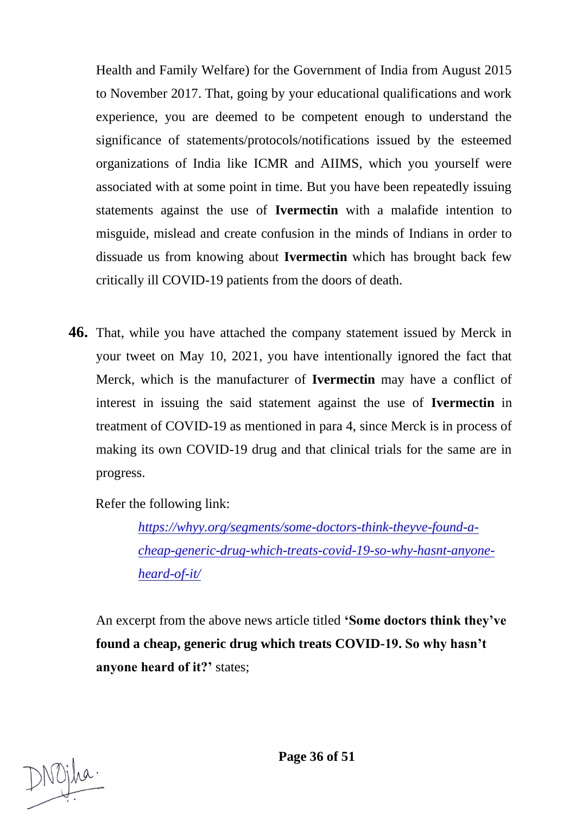Health and Family Welfare) for the Government of India from August 2015 to November 2017. That, going by your educational qualifications and work experience, you are deemed to be competent enough to understand the significance of statements/protocols/notifications issued by the esteemed organizations of India like ICMR and AIIMS, which you yourself were associated with at some point in time. But you have been repeatedly issuing statements against the use of **Ivermectin** with a malafide intention to misguide, mislead and create confusion in the minds of Indians in order to dissuade us from knowing about **Ivermectin** which has brought back few critically ill COVID-19 patients from the doors of death.

**46.** That, while you have attached the company statement issued by Merck in your tweet on May 10, 2021, you have intentionally ignored the fact that Merck, which is the manufacturer of **Ivermectin** may have a conflict of interest in issuing the said statement against the use of **Ivermectin** in treatment of COVID-19 as mentioned in para 4, since Merck is in process of making its own COVID-19 drug and that clinical trials for the same are in progress.

Refer the following link:

*[https://whyy.org/segments/some-doctors-think-theyve-found-a](https://whyy.org/segments/some-doctors-think-theyve-found-a-cheap-generic-drug-which-treats-covid-19-so-why-hasnt-anyone-heard-of-it/)[cheap-generic-drug-which-treats-covid-19-so-why-hasnt-anyone](https://whyy.org/segments/some-doctors-think-theyve-found-a-cheap-generic-drug-which-treats-covid-19-so-why-hasnt-anyone-heard-of-it/)[heard-of-it/](https://whyy.org/segments/some-doctors-think-theyve-found-a-cheap-generic-drug-which-treats-covid-19-so-why-hasnt-anyone-heard-of-it/)*

An excerpt from the above news article titled **'Some doctors think they've found a cheap, generic drug which treats COVID-19. So why hasn't anyone heard of it?'** states;

Nojha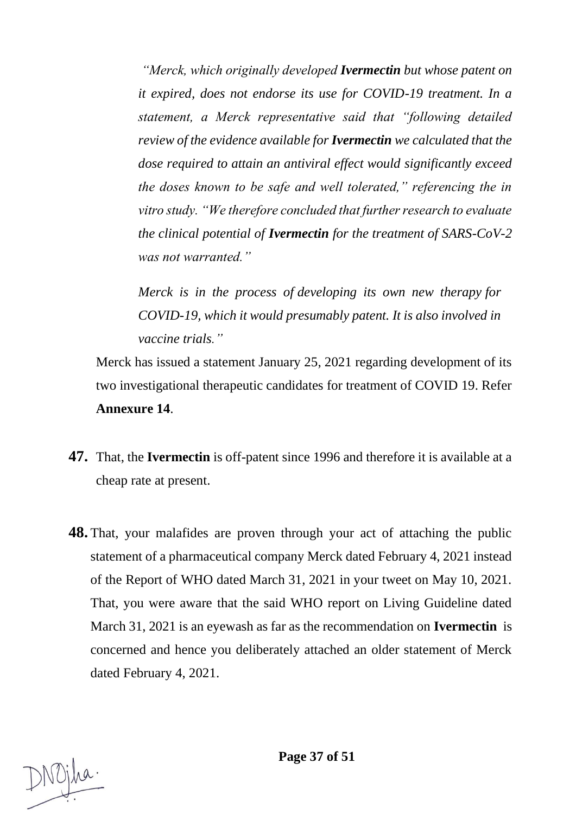*"Merck, which originally developed Ivermectin but whose patent on it expired, does not endorse its use for COVID-19 treatment. In a statement, a Merck representative said that "following detailed review of the evidence available for Ivermectin we calculated that the dose required to attain an antiviral effect would significantly exceed the doses known to be safe and well tolerated," referencing the in vitro study. "We therefore concluded that further research to evaluate the clinical potential of Ivermectin for the treatment of SARS-CoV-2 was not warranted."*

*Merck is in the process of [developing its own new therapy](https://www.sciencemag.org/news/2020/05/merck-one-big-pharma-s-biggest-players-reveals-its-covid-19-vaccine-and-therapy-plans) for COVID-19, which it would presumably patent. It is also involved in vaccine trials."*

Merck has issued a statement January 25, 2021 regarding development of its two investigational therapeutic candidates for treatment of COVID 19. Refer **Annexure 14**.

- **47.** That, the **Ivermectin** is off-patent since 1996 and therefore it is available at a cheap rate at present.
- **48.** That, your malafides are proven through your act of attaching the public statement of a pharmaceutical company Merck dated February 4, 2021 instead of the Report of WHO dated March 31, 2021 in your tweet on May 10, 2021. That, you were aware that the said WHO report on Living Guideline dated March 31, 2021 is an eyewash as far as the recommendation on **Ivermectin** is concerned and hence you deliberately attached an older statement of Merck dated February 4, 2021.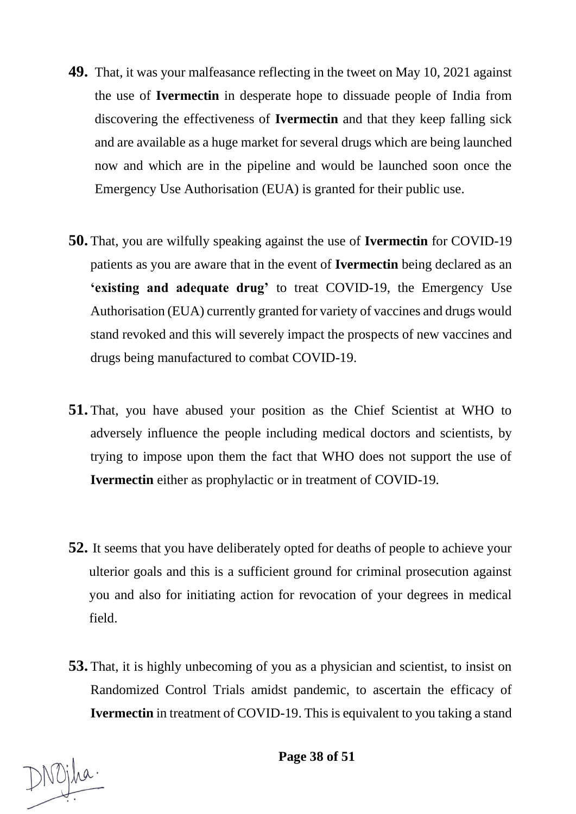- **49.** That, it was your malfeasance reflecting in the tweet on May 10, 2021 against the use of **Ivermectin** in desperate hope to dissuade people of India from discovering the effectiveness of **Ivermectin** and that they keep falling sick and are available as a huge market for several drugs which are being launched now and which are in the pipeline and would be launched soon once the Emergency Use Authorisation (EUA) is granted for their public use.
- **50.** That, you are wilfully speaking against the use of **Ivermectin** for COVID-19 patients as you are aware that in the event of **Ivermectin** being declared as an **'existing and adequate drug'** to treat COVID-19, the Emergency Use Authorisation (EUA) currently granted for variety of vaccines and drugs would stand revoked and this will severely impact the prospects of new vaccines and drugs being manufactured to combat COVID-19.
- **51.** That, you have abused your position as the Chief Scientist at WHO to adversely influence the people including medical doctors and scientists, by trying to impose upon them the fact that WHO does not support the use of **Ivermectin** either as prophylactic or in treatment of COVID-19.
- **52.** It seems that you have deliberately opted for deaths of people to achieve your ulterior goals and this is a sufficient ground for criminal prosecution against you and also for initiating action for revocation of your degrees in medical field.
- **53.** That, it is highly unbecoming of you as a physician and scientist, to insist on Randomized Control Trials amidst pandemic, to ascertain the efficacy of **Ivermectin** in treatment of COVID-19. This is equivalent to you taking a stand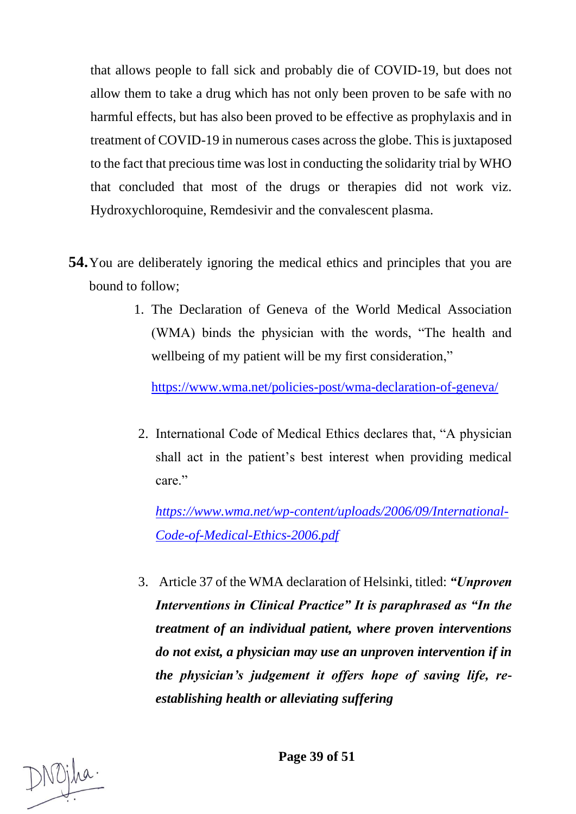that allows people to fall sick and probably die of COVID-19, but does not allow them to take a drug which has not only been proven to be safe with no harmful effects, but has also been proved to be effective as prophylaxis and in treatment of COVID-19 in numerous cases across the globe. This is juxtaposed to the fact that precious time was lost in conducting the solidarity trial by WHO that concluded that most of the drugs or therapies did not work viz. Hydroxychloroquine, Remdesivir and the convalescent plasma.

- **54.**You are deliberately ignoring the medical ethics and principles that you are bound to follow;
	- 1. The Declaration of Geneva of the World Medical Association (WMA) binds the physician with the words, "The health and wellbeing of my patient will be my first consideration,"

<https://www.wma.net/policies-post/wma-declaration-of-geneva/>

2. International Code of Medical Ethics declares that, "A physician shall act in the patient's best interest when providing medical care."

*[https://www.wma.net/wp-content/uploads/2006/09/International-](https://www.wma.net/wp-content/uploads/2006/09/International-Code-of-Medical-Ethics-2006.pdf)[Code-of-Medical-Ethics-2006.pdf](https://www.wma.net/wp-content/uploads/2006/09/International-Code-of-Medical-Ethics-2006.pdf)*

3. Article 37 of the WMA declaration of Helsinki, titled: *"Unproven Interventions in Clinical Practice" It is paraphrased as "In the treatment of an individual patient, where proven interventions do not exist, a physician may use an unproven intervention if in the physician's judgement it offers hope of saving life, reestablishing health or alleviating suffering*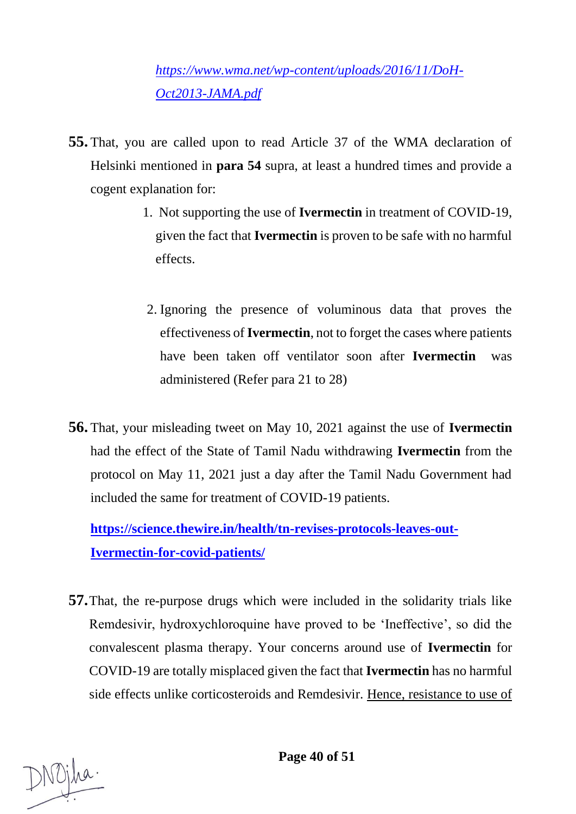*[https://www.wma.net/wp-content/uploads/2016/11/DoH-](https://www.wma.net/wp-content/uploads/2016/11/DoH-Oct2013-JAMA.pdf)[Oct2013-JAMA.pdf](https://www.wma.net/wp-content/uploads/2016/11/DoH-Oct2013-JAMA.pdf)*

- **55.** That, you are called upon to read Article 37 of the WMA declaration of Helsinki mentioned in **para 54** supra, at least a hundred times and provide a cogent explanation for:
	- 1. Not supporting the use of **Ivermectin** in treatment of COVID-19, given the fact that **Ivermectin** is proven to be safe with no harmful effects.
	- 2. Ignoring the presence of voluminous data that proves the effectiveness of **Ivermectin**, not to forget the cases where patients have been taken off ventilator soon after **Ivermectin** was administered (Refer para 21 to 28)
- **56.** That, your misleading tweet on May 10, 2021 against the use of **Ivermectin**  had the effect of the State of Tamil Nadu withdrawing **Ivermectin** from the protocol on May 11, 2021 just a day after the Tamil Nadu Government had included the same for treatment of COVID-19 patients.

**[https://science.thewire.in/health/tn-revises-protocols-leaves-out-](https://science.thewire.in/health/tn-revises-protocols-leaves-out-Ivermectin-for-covid-patients/)[Ivermectin-for-covid-patients/](https://science.thewire.in/health/tn-revises-protocols-leaves-out-Ivermectin-for-covid-patients/)**

**57.**That, the re-purpose drugs which were included in the solidarity trials like Remdesivir, hydroxychloroquine have proved to be 'Ineffective', so did the convalescent plasma therapy. Your concerns around use of **Ivermectin** for COVID-19 are totally misplaced given the fact that **Ivermectin** has no harmful side effects unlike corticosteroids and Remdesivir. Hence, resistance to use of

**Page 40 of 51**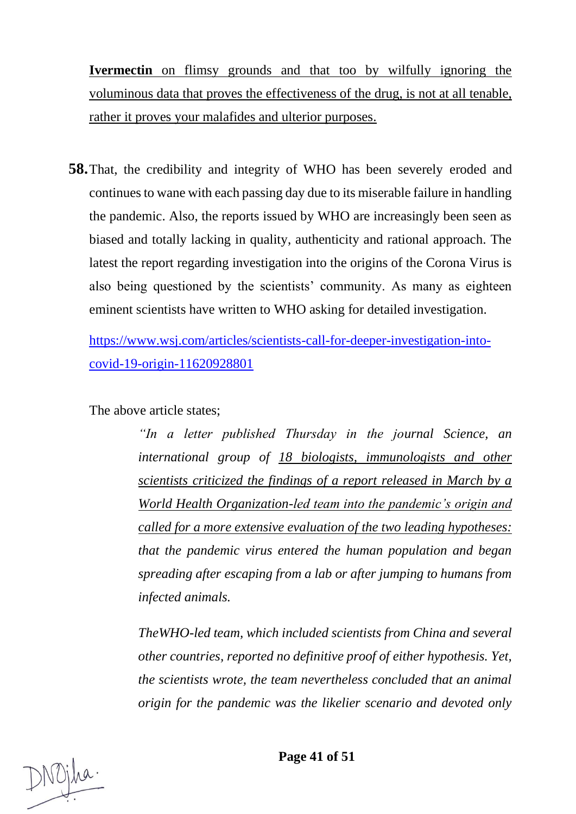**Ivermectin** on flimsy grounds and that too by wilfully ignoring the voluminous data that proves the effectiveness of the drug, is not at all tenable, rather it proves your malafides and ulterior purposes.

**58.**That, the credibility and integrity of WHO has been severely eroded and continues to wane with each passing day due to its miserable failure in handling the pandemic. Also, the reports issued by WHO are increasingly been seen as biased and totally lacking in quality, authenticity and rational approach. The latest the report regarding investigation into the origins of the Corona Virus is also being questioned by the scientists' community. As many as eighteen eminent scientists have written to WHO asking for detailed investigation.

[https://www.wsj.com/articles/scientists-call-for-deeper-investigation-into](https://www.wsj.com/articles/scientists-call-for-deeper-investigation-into-covid-19-origin-11620928801)[covid-19-origin-11620928801](https://www.wsj.com/articles/scientists-call-for-deeper-investigation-into-covid-19-origin-11620928801)

The above article states;

*"In a letter published Thursday in the journal Science, an international group of 18 biologists, immunologists and other scientists criticized the findings of a report released in March by a World Health Organization-led team into the pandemic's origin and called for a more extensive evaluation of the two leading hypotheses: that the pandemic virus entered the human population and began spreading after escaping from a lab or after jumping to humans from infected animals.*

*TheWHO-led team, which included scientists from China and several other countries, reported no definitive proof of either hypothesis. Yet, the scientists wrote, the team nevertheless concluded that an animal origin for the pandemic was the likelier scenario and devoted only*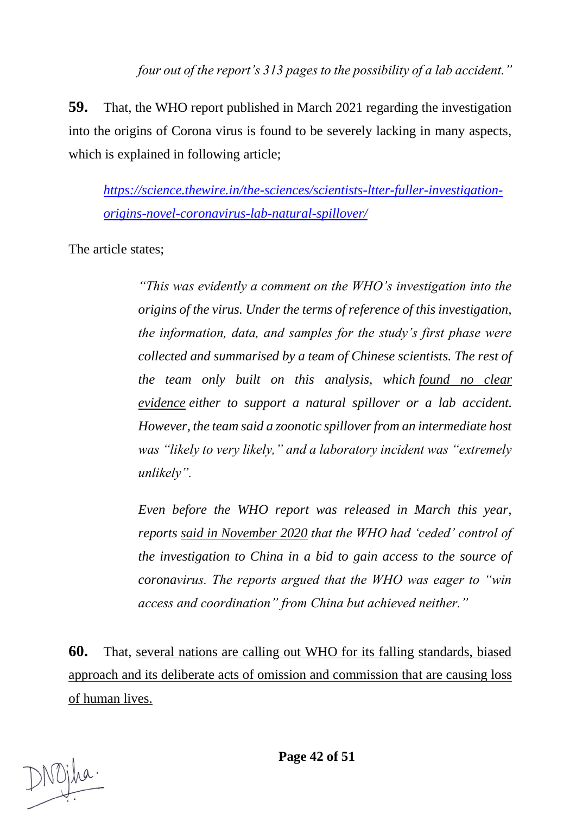**59.** That, the WHO report published in March 2021 regarding the investigation into the origins of Corona virus is found to be severely lacking in many aspects, which is explained in following article;

*[https://science.thewire.in/the-sciences/scientists-ltter-fuller-investigation](https://science.thewire.in/the-sciences/scientists-ltter-fuller-investigation-origins-novel-coronavirus-lab-natural-spillover/)[origins-novel-coronavirus-lab-natural-spillover/](https://science.thewire.in/the-sciences/scientists-ltter-fuller-investigation-origins-novel-coronavirus-lab-natural-spillover/)*

The article states;

*"This was evidently a comment on the WHO's investigation into the origins of the virus. Under the terms of reference of this investigation, the information, data, and samples for the study's first phase were collected and summarised by a team of Chinese scientists. The rest of the team only built on this analysis, which [found no clear](https://www.who.int/publications/i/item/who-convened-global-study-of-origins-of-sars-cov-2-china-part)  [evidence](https://www.who.int/publications/i/item/who-convened-global-study-of-origins-of-sars-cov-2-china-part) either to support a natural spillover or a lab accident. However, the team said a zoonotic spillover from an intermediate host was "likely to very likely," and a laboratory incident was "extremely unlikely".*

*Even before the WHO report was released in March this year, reports [said in November 2020](https://science.thewire.in/health/coronavirus-source-china-who-control-xi-jinping-tedros-adhanom-ghebreyesus/) that the WHO had 'ceded' control of the investigation to China in a bid to gain access to the source of coronavirus. The reports argued that the WHO was eager to "win access and coordination" from China but achieved neither."*

**60.** That, several nations are calling out WHO for its falling standards, biased approach and its deliberate acts of omission and commission that are causing loss of human lives.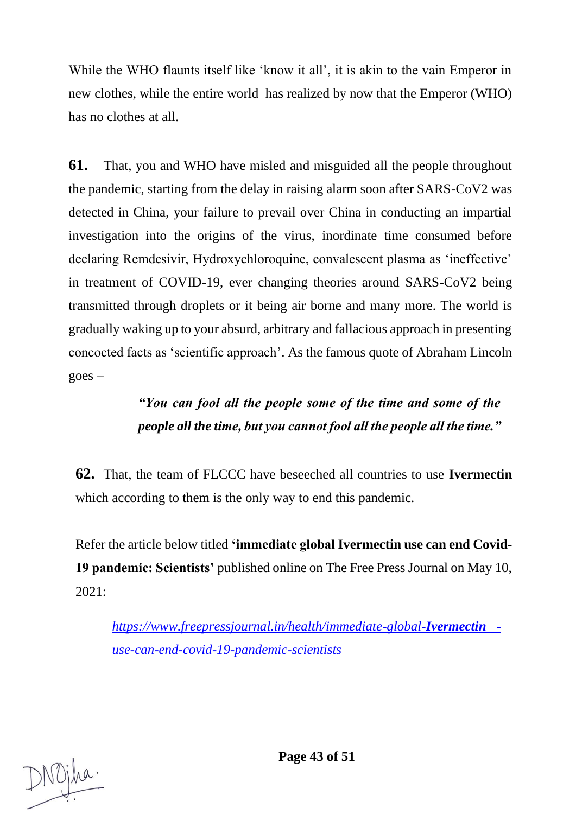While the WHO flaunts itself like 'know it all', it is akin to the vain Emperor in new clothes, while the entire world has realized by now that the Emperor (WHO) has no clothes at all.

**61.** That, you and WHO have misled and misguided all the people throughout the pandemic, starting from the delay in raising alarm soon after SARS-CoV2 was detected in China, your failure to prevail over China in conducting an impartial investigation into the origins of the virus, inordinate time consumed before declaring Remdesivir, Hydroxychloroquine, convalescent plasma as 'ineffective' in treatment of COVID-19, ever changing theories around SARS-CoV2 being transmitted through droplets or it being air borne and many more. The world is gradually waking up to your absurd, arbitrary and fallacious approach in presenting concocted facts as 'scientific approach'. As the famous quote of Abraham Lincoln  $goes -$ 

# *"You can fool all the people some of the time and some of the people all the time, but you cannot fool all the people all the time."*

**62.** That, the team of FLCCC have beseeched all countries to use **Ivermectin** which according to them is the only way to end this pandemic.

Refer the article below titled **'immediate global Ivermectin use can end Covid-19 pandemic: Scientists'** published online on The Free Press Journal on May 10, 2021:

*[https://www.freepressjournal.in/health/immediate-global-](https://www.freepressjournal.in/health/immediate-global-ivermectin-use-can-end-covid-19-pandemic-scientists)Ivermectin [use-can-end-covid-19-pandemic-scientists](https://www.freepressjournal.in/health/immediate-global-ivermectin-use-can-end-covid-19-pandemic-scientists)*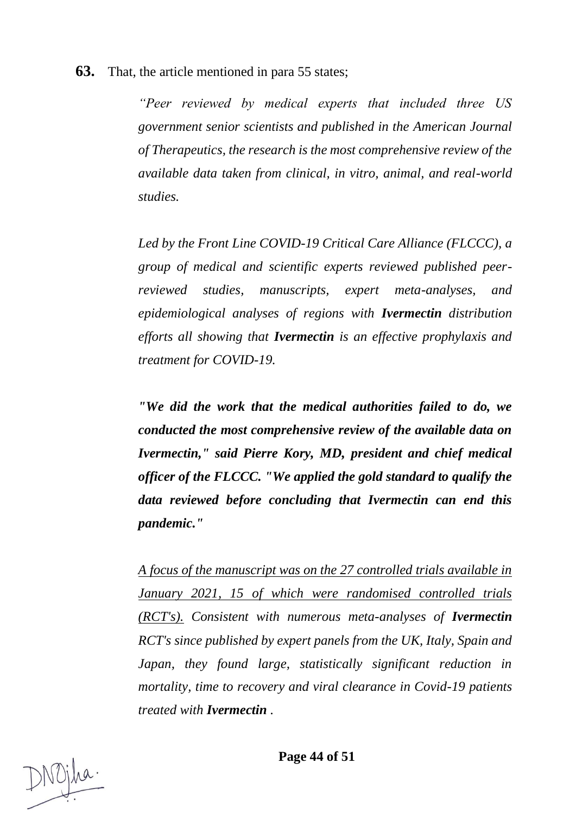**63.** That, the article mentioned in para 55 states;

*"Peer reviewed by medical experts that included three US government senior scientists and published in the American Journal of Therapeutics, the research is the most comprehensive review of the available data taken from clinical, in vitro, animal, and real-world studies.*

*Led by the Front Line COVID-19 Critical Care Alliance (FLCCC), a group of medical and scientific experts reviewed published peerreviewed studies, manuscripts, expert meta-analyses, and epidemiological analyses of regions with Ivermectin distribution efforts all showing that Ivermectin is an effective prophylaxis and treatment for COVID-19.*

*"We did the work that the medical authorities failed to do, we conducted the most comprehensive review of the available data on Ivermectin," said Pierre Kory, MD, president and chief medical officer of the FLCCC. "We applied the gold standard to qualify the data reviewed before concluding that Ivermectin can end this pandemic."*

*A focus of the manuscript was on the 27 controlled trials available in January 2021, 15 of which were randomised controlled trials (RCT's). Consistent with numerous meta-analyses of Ivermectin RCT's since published by expert panels from the UK, Italy, Spain and Japan, they found large, statistically significant reduction in mortality, time to recovery and viral clearance in Covid-19 patients treated with Ivermectin .*

**Page 44 of 51**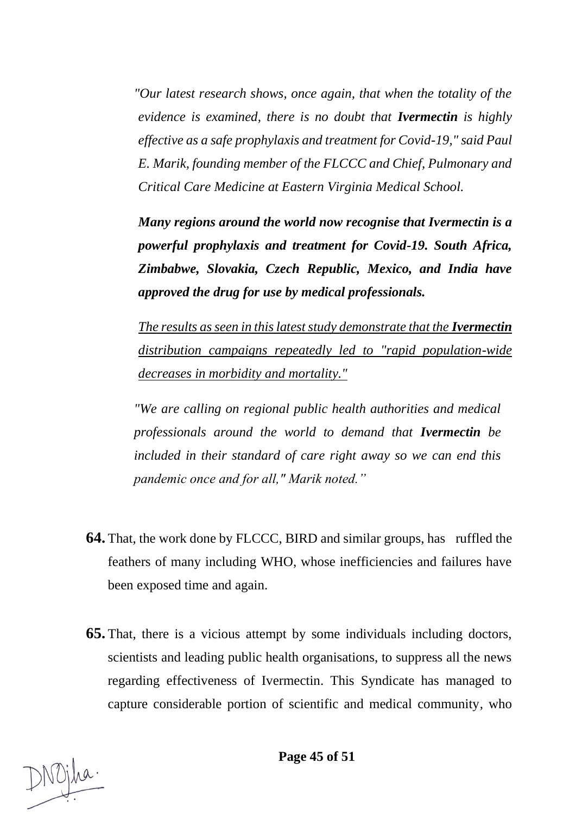*"Our latest research shows, once again, that when the totality of the evidence is examined, there is no doubt that Ivermectin is highly effective as a safe prophylaxis and treatment for Covid-19," said Paul E. Marik, founding member of the FLCCC and Chief, Pulmonary and Critical Care Medicine at Eastern Virginia Medical School.*

*Many regions around the world now recognise that Ivermectin is a powerful prophylaxis and treatment for Covid-19. South Africa, Zimbabwe, Slovakia, Czech Republic, Mexico, and India have approved the drug for use by medical professionals.*

*The results as seen in this latest study demonstrate that the Ivermectin distribution campaigns repeatedly led to "rapid population-wide decreases in morbidity and mortality."*

*"We are calling on regional public health authorities and medical professionals around the world to demand that Ivermectin be included in their standard of care right away so we can end this pandemic once and for all," Marik noted."*

- **64.** That, the work done by FLCCC, BIRD and similar groups, has ruffled the feathers of many including WHO, whose inefficiencies and failures have been exposed time and again.
- **65.** That, there is a vicious attempt by some individuals including doctors, scientists and leading public health organisations, to suppress all the news regarding effectiveness of Ivermectin. This Syndicate has managed to capture considerable portion of scientific and medical community, who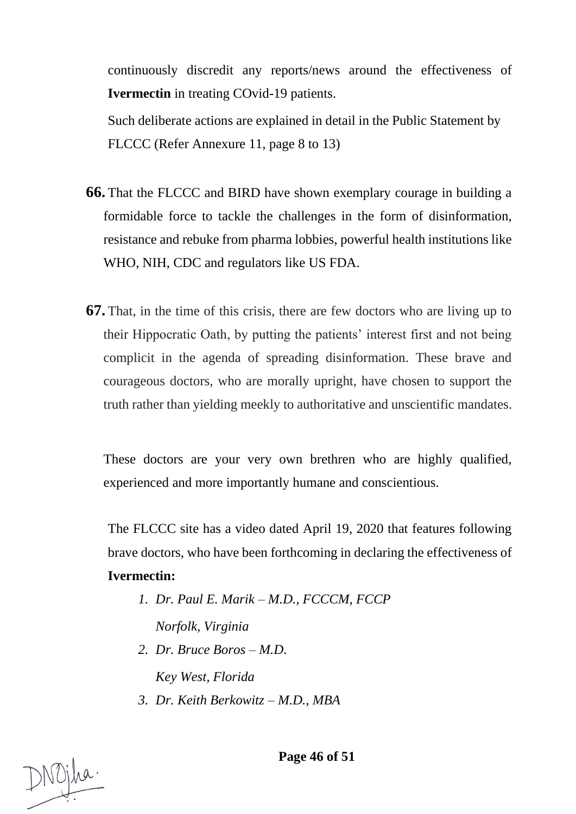continuously discredit any reports/news around the effectiveness of **Ivermectin** in treating COvid-19 patients.

Such deliberate actions are explained in detail in the Public Statement by FLCCC (Refer Annexure 11, page 8 to 13)

- **66.** That the FLCCC and BIRD have shown exemplary courage in building a formidable force to tackle the challenges in the form of disinformation, resistance and rebuke from pharma lobbies, powerful health institutions like WHO, NIH, CDC and regulators like US FDA.
- **67.** That, in the time of this crisis, there are few doctors who are living up to their Hippocratic Oath, by putting the patients' interest first and not being complicit in the agenda of spreading disinformation. These brave and courageous doctors, who are morally upright, have chosen to support the truth rather than yielding meekly to authoritative and unscientific mandates.

These doctors are your very own brethren who are highly qualified, experienced and more importantly humane and conscientious.

The FLCCC site has a video dated April 19, 2020 that features following brave doctors, who have been forthcoming in declaring the effectiveness of **Ivermectin:**

- *1. Dr. Paul E. Marik – M.D., FCCCM, FCCP Norfolk, Virginia*
- *2. Dr. Bruce Boros – M.D.*

*Key West, Florida*

*3. Dr. Keith Berkowitz – M.D., MBA*

**Page 46 of 51**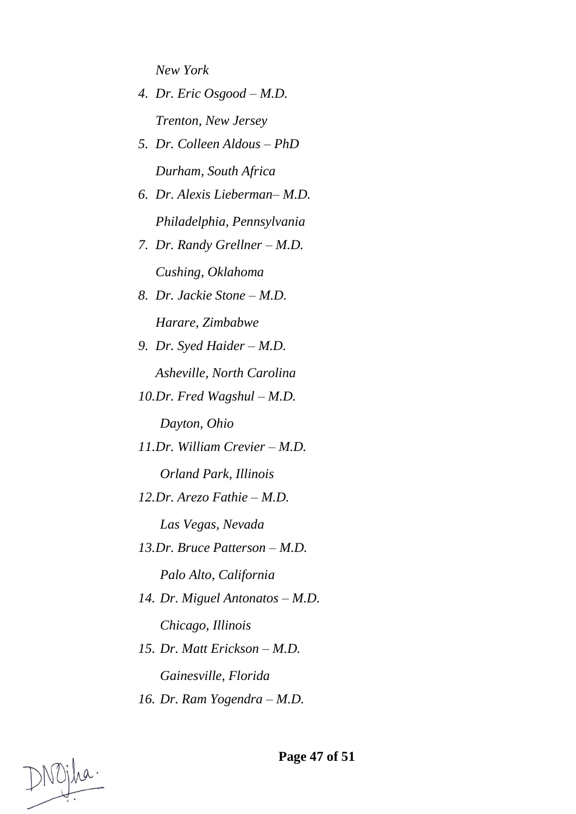*New York*

- *4. Dr. Eric Osgood – M.D. Trenton, New Jersey*
- *5. Dr. Colleen Aldous – PhD Durham, South Africa*
- *6. Dr. Alexis Lieberman– M.D. Philadelphia, Pennsylvania*
- *7. Dr. Randy Grellner – M.D. Cushing, Oklahoma*
- *8. Dr. Jackie Stone – M.D. Harare, Zimbabwe*
- *9. Dr. Syed Haider – M.D.*

*Asheville, North Carolina*

*10.Dr. Fred Wagshul – M.D.*

*Dayton, Ohio*

*11.Dr. William Crevier – M.D.*

*Orland Park, Illinois*

*12.Dr. Arezo Fathie – M.D.*

*Las Vegas, Nevada*

*13.Dr. Bruce Patterson – M.D.*

*Palo Alto, California*

- *14. Dr. Miguel Antonatos – M.D. Chicago, Illinois*
- *15. Dr. Matt Erickson – M.D.*

*Gainesville, Florida*

*16. Dr. Ram Yogendra – M.D.*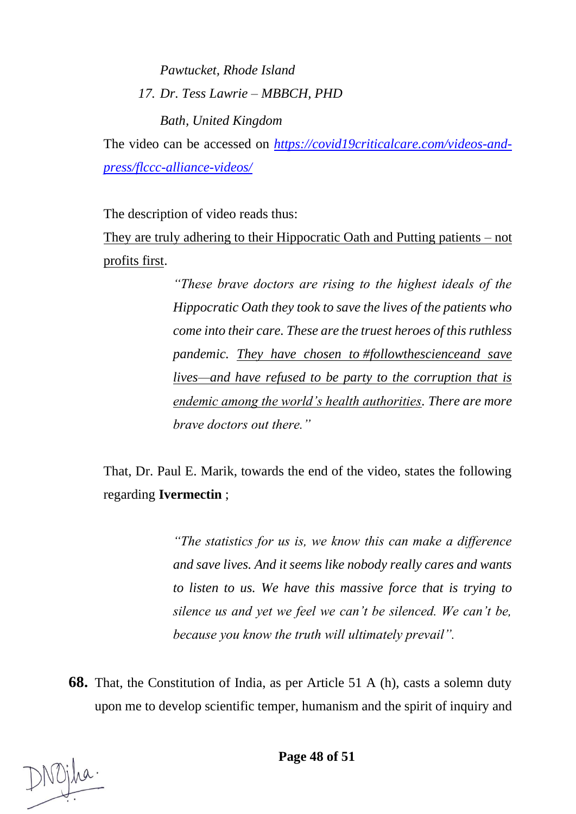*Pawtucket, Rhode Island 17. Dr. Tess Lawrie – MBBCH, PHD*

*Bath, United Kingdom*

The video can be accessed on *[https://covid19criticalcare.com/videos-and](https://covid19criticalcare.com/videos-and-press/flccc-alliance-videos/)[press/flccc-alliance-videos/](https://covid19criticalcare.com/videos-and-press/flccc-alliance-videos/)*

The description of video reads thus:

They are truly adhering to their Hippocratic Oath and Putting patients – not profits first.

> *"These brave doctors are rising to the highest ideals of the Hippocratic Oath they took to save the lives of the patients who come into their care. These are the truest heroes of this ruthless pandemic. They have chosen to [#followthesciencea](https://www.youtube.com/hashtag/followthescience)nd save lives—and have refused to be party to the corruption that is endemic among the world's health authorities. There are more brave doctors out there."*

That, Dr. Paul E. Marik, towards the end of the video, states the following regarding **Ivermectin** ;

> *"The statistics for us is, we know this can make a difference and save lives. And it seems like nobody really cares and wants to listen to us. We have this massive force that is trying to silence us and yet we feel we can't be silenced. We can't be, because you know the truth will ultimately prevail".*

**68.** That, the Constitution of India, as per Article 51 A (h), casts a solemn duty upon me to develop scientific temper, humanism and the spirit of inquiry and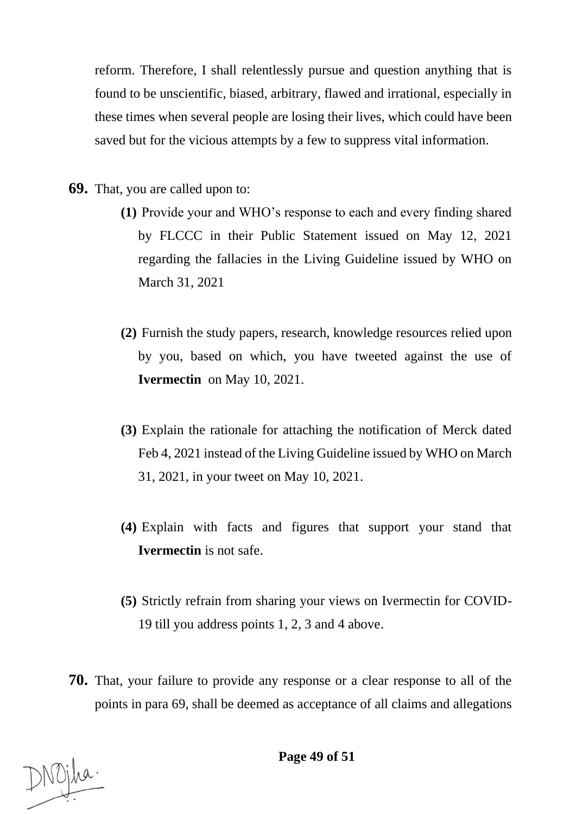reform. Therefore, I shall relentlessly pursue and question anything that is found to be unscientific, biased, arbitrary, flawed and irrational, especially in these times when several people are losing their lives, which could have been saved but for the vicious attempts by a few to suppress vital information.

- **69.** That, you are called upon to:
	- **(1)** Provide your and WHO's response to each and every finding shared by FLCCC in their Public Statement issued on May 12, 2021 regarding the fallacies in the Living Guideline issued by WHO on March 31, 2021
	- **(2)** Furnish the study papers, research, knowledge resources relied upon by you, based on which, you have tweeted against the use of **Ivermectin** on May 10, 2021.
	- **(3)** Explain the rationale for attaching the notification of Merck dated Feb 4, 2021 instead of the Living Guideline issued by WHO on March 31, 2021, in your tweet on May 10, 2021.
	- **(4)** Explain with facts and figures that support your stand that **Ivermectin** is not safe.
	- **(5)** Strictly refrain from sharing your views on Ivermectin for COVID-19 till you address points 1, 2, 3 and 4 above.
- **70.** That, your failure to provide any response or a clear response to all of the points in para 69, shall be deemed as acceptance of all claims and allegations

**Page 49 of 51**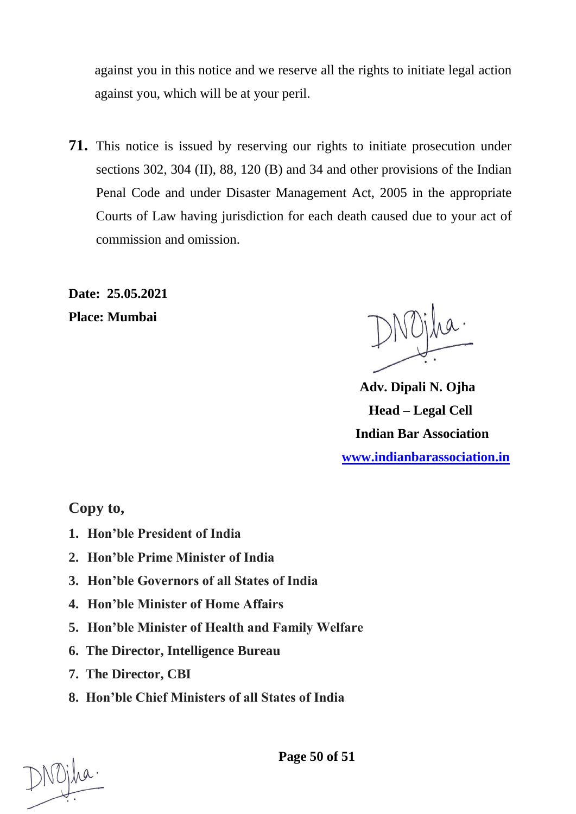against you in this notice and we reserve all the rights to initiate legal action against you, which will be at your peril.

**71.** This notice is issued by reserving our rights to initiate prosecution under sections 302, 304 (II), 88, 120 (B) and 34 and other provisions of the Indian Penal Code and under Disaster Management Act, 2005 in the appropriate Courts of Law having jurisdiction for each death caused due to your act of commission and omission.

**Date: 25.05.2021**

**Place: Mumbai**

 **Adv. Dipali N. Ojha Head – Legal Cell Indian Bar Association [www.indianbarassociation.in](http://www.indianbarassociation.in/)**

**Copy to,**

- **1. Hon'ble President of India**
- **2. Hon'ble Prime Minister of India**
- **3. Hon'ble Governors of all States of India**
- **4. Hon'ble Minister of Home Affairs**
- **5. Hon'ble Minister of Health and Family Welfare**
- **6. The Director, Intelligence Bureau**
- **7. The Director, CBI**
- **8. Hon'ble Chief Ministers of all States of India**

**Page 50 of 51**